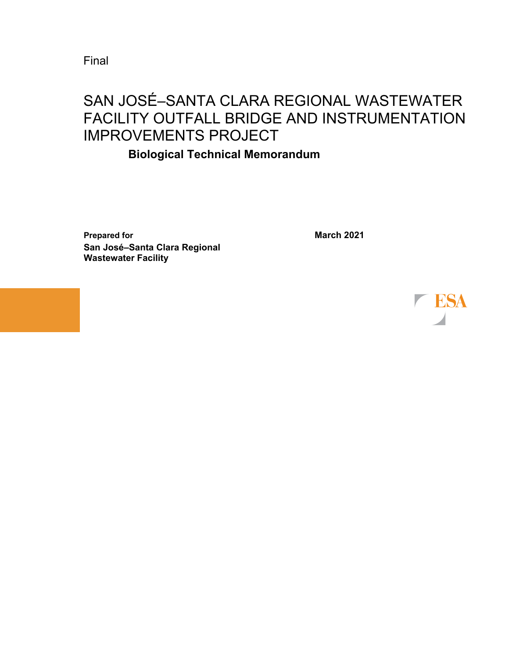Final

## SAN JOSÉ–SANTA CLARA REGIONAL WASTEWATER FACILITY OUTFALL BRIDGE AND INSTRUMENTATION IMPROVEMENTS PROJECT

### **Biological Technical Memorandum**

**Prepared for March 2021 San José–Santa Clara Regional Wastewater Facility**

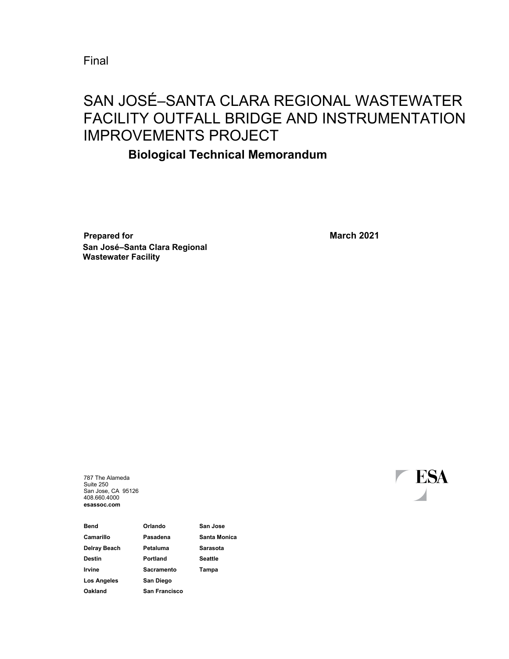Final

# SAN JOSÉ–SANTA CLARA REGIONAL WASTEWATER FACILITY OUTFALL BRIDGE AND INSTRUMENTATION IMPROVEMENTS PROJECT

### **Biological Technical Memorandum**

**Prepared for March 2021 San José–Santa Clara Regional Wastewater Facility**

787 The Alameda Suite 250 San Jose, CA 95126 408.660.4000 **esassoc.com**

**Bend Camarillo Delray Beach Destin Irvine Los Angeles Oakland Orlando Pasadena Petaluma Portland Sacramento San Diego San Francisco San Jose Santa Monica Sarasota Seattle Tampa**

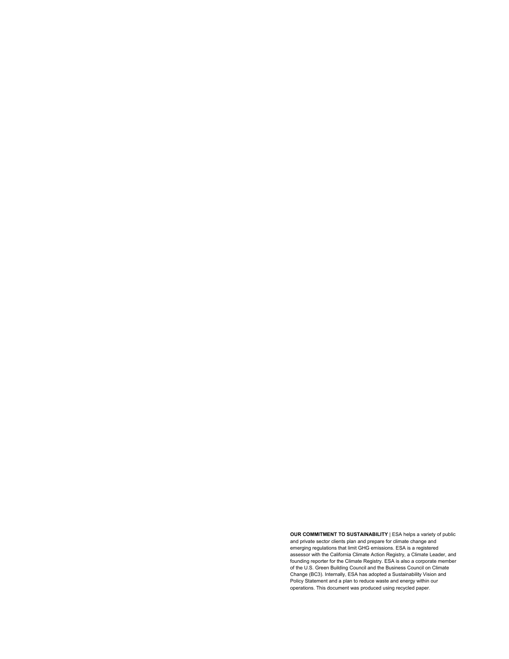**OUR COMMITMENT TO SUSTAINABILITY** | ESA helps a variety of public and private sector clients plan and prepare for climate change and emerging regulations that limit GHG emissions. ESA is a registered assessor with the California Climate Action Registry, a Climate Leader, and founding reporter for the Climate Registry. ESA is also a corporate member of the U.S. Green Building Council and the Business Council on Climate Change (BC3). Internally, ESA has adopted a Sustainability Vision and Policy Statement and a plan to reduce waste and energy within our operations. This document was produced using recycled paper.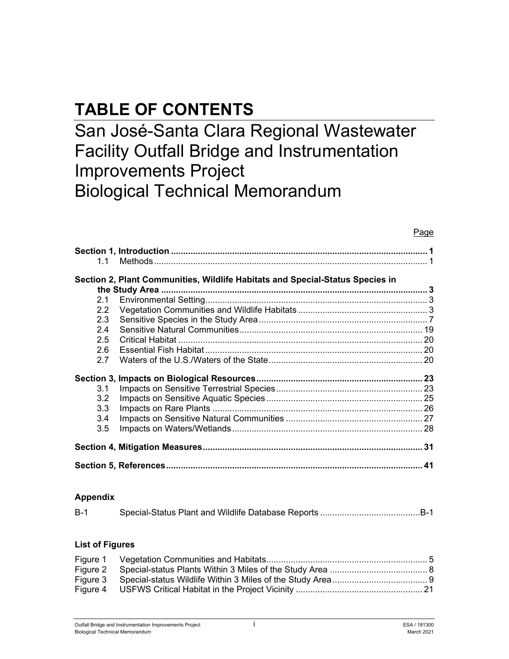# **TABLE OF CONTENTS**

San José-Santa Clara Regional Wastewater Facility Outfall Bridge and Instrumentation Improvements Project Biological Technical Memorandum

#### Page

| 11               |                                                                               |  |
|------------------|-------------------------------------------------------------------------------|--|
|                  | Section 2, Plant Communities, Wildlife Habitats and Special-Status Species in |  |
|                  |                                                                               |  |
|                  |                                                                               |  |
| 2.2 <sub>2</sub> |                                                                               |  |
| 2.3              |                                                                               |  |
| 24               |                                                                               |  |
| 2.5              |                                                                               |  |
| 2.6              |                                                                               |  |
| 2.7              |                                                                               |  |
|                  |                                                                               |  |
| 3.1              |                                                                               |  |
| 3.2              |                                                                               |  |
| 3.3 <sub>2</sub> |                                                                               |  |
| 3.4              |                                                                               |  |
| 3.5              |                                                                               |  |
|                  |                                                                               |  |
|                  |                                                                               |  |
|                  |                                                                               |  |

#### **Appendix**

| $B-1$ |  |  |  |
|-------|--|--|--|
|-------|--|--|--|

#### **List of Figures**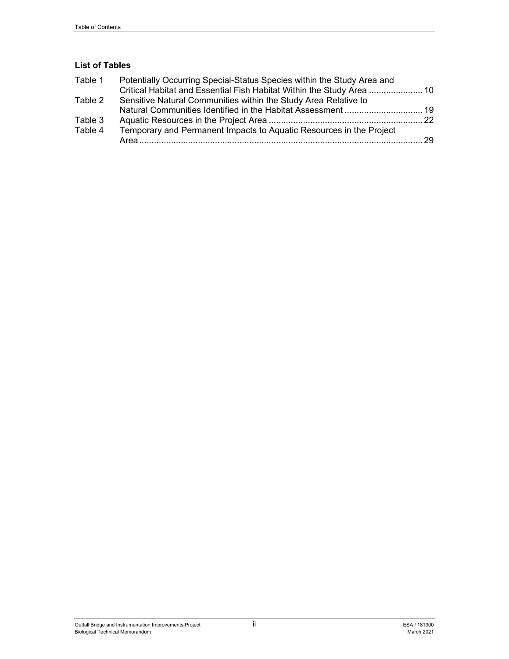#### **List of Tables**

| Table 1 | Potentially Occurring Special-Status Species within the Study Area and |     |
|---------|------------------------------------------------------------------------|-----|
|         | Critical Habitat and Essential Fish Habitat Within the Study Area  10  |     |
| Table 2 | Sensitive Natural Communities within the Study Area Relative to        |     |
|         |                                                                        |     |
| Table 3 |                                                                        |     |
| Table 4 | Temporary and Permanent Impacts to Aquatic Resources in the Project    |     |
|         | Area                                                                   | 29. |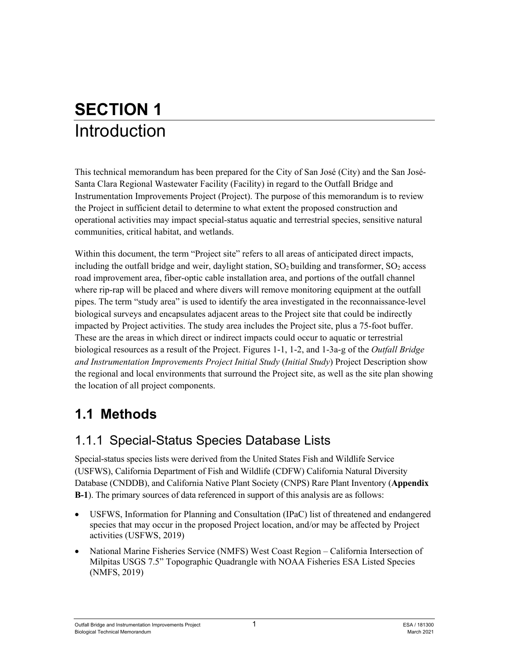# <span id="page-6-1"></span><span id="page-6-0"></span>**SECTION 1 Introduction**

This technical memorandum has been prepared for the City of San José (City) and the San José-Santa Clara Regional Wastewater Facility (Facility) in regard to the Outfall Bridge and Instrumentation Improvements Project (Project). The purpose of this memorandum is to review the Project in sufficient detail to determine to what extent the proposed construction and operational activities may impact special-status aquatic and terrestrial species, sensitive natural communities, critical habitat, and wetlands.

Within this document, the term "Project site" refers to all areas of anticipated direct impacts, including the outfall bridge and weir, daylight station,  $SO_2$  building and transformer,  $SO_2$  access road improvement area, fiber-optic cable installation area, and portions of the outfall channel where rip-rap will be placed and where divers will remove monitoring equipment at the outfall pipes. The term "study area" is used to identify the area investigated in the reconnaissance-level biological surveys and encapsulates adjacent areas to the Project site that could be indirectly impacted by Project activities. The study area includes the Project site, plus a 75-foot buffer. These are the areas in which direct or indirect impacts could occur to aquatic or terrestrial biological resources as a result of the Project. Figures 1-1, 1-2, and 1-3a-g of the *Outfall Bridge and Instrumentation Improvements Project Initial Study* (*Initial Study*) Project Description show the regional and local environments that surround the Project site, as well as the site plan showing the location of all project components.

## <span id="page-6-2"></span>**1.1 Methods**

### 1.1.1 Special-Status Species Database Lists

Special-status species lists were derived from the United States Fish and Wildlife Service (USFWS), California Department of Fish and Wildlife (CDFW) California Natural Diversity Database (CNDDB), and California Native Plant Society (CNPS) Rare Plant Inventory (**Appendix B-1**). The primary sources of data referenced in support of this analysis are as follows:

- USFWS, Information for Planning and Consultation (IPaC) list of threatened and endangered species that may occur in the proposed Project location, and/or may be affected by Project activities (USFWS, 2019)
- National Marine Fisheries Service (NMFS) West Coast Region California Intersection of Milpitas USGS 7.5" Topographic Quadrangle with NOAA Fisheries ESA Listed Species (NMFS, 2019)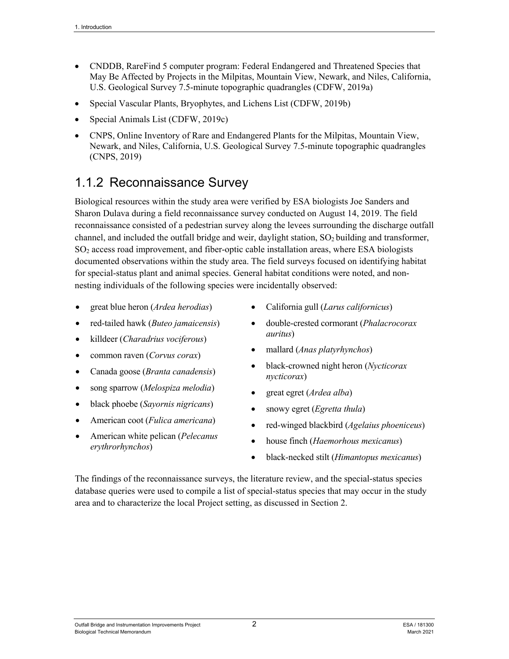- CNDDB, RareFind 5 computer program: Federal Endangered and Threatened Species that May Be Affected by Projects in the Milpitas, Mountain View, Newark, and Niles, California, U.S. Geological Survey 7.5-minute topographic quadrangles (CDFW, 2019a)
- Special Vascular Plants, Bryophytes, and Lichens List (CDFW, 2019b)
- Special Animals List (CDFW, 2019c)
- CNPS, Online Inventory of Rare and Endangered Plants for the Milpitas, Mountain View, Newark, and Niles, California, U.S. Geological Survey 7.5-minute topographic quadrangles (CNPS, 2019)

### 1.1.2 Reconnaissance Survey

Biological resources within the study area were verified by ESA biologists Joe Sanders and Sharon Dulava during a field reconnaissance survey conducted on August 14, 2019. The field reconnaissance consisted of a pedestrian survey along the levees surrounding the discharge outfall channel, and included the outfall bridge and weir, daylight station,  $SO_2$  building and transformer, SO2 access road improvement, and fiber-optic cable installation areas, where ESA biologists documented observations within the study area. The field surveys focused on identifying habitat for special-status plant and animal species. General habitat conditions were noted, and nonnesting individuals of the following species were incidentally observed:

- great blue heron (*Ardea herodias*)
- red-tailed hawk (*Buteo jamaicensis*)
- killdeer (*Charadrius vociferous*)
- common raven (*Corvus corax*)
- Canada goose (*Branta canadensis*)
- song sparrow (*Melospiza melodia*)
- black phoebe (*Sayornis nigricans*)
- American coot (*Fulica americana*)
- American white pelican (*Pelecanus erythrorhynchos*)
- California gull (*Larus californicus*)
- double-crested cormorant (*Phalacrocorax auritus*)
- mallard (*Anas platyrhynchos*)
- black-crowned night heron (*Nycticorax nycticorax*)
- great egret (*Ardea alba*)
- snowy egret (*Egretta thula*)
- red‐winged blackbird (*Agelaius phoeniceus*)
- house finch (*Haemorhous mexicanus*)
- black-necked stilt (*Himantopus mexicanus*)

The findings of the reconnaissance surveys, the literature review, and the special-status species database queries were used to compile a list of special-status species that may occur in the study area and to characterize the local Project setting, as discussed in Section 2.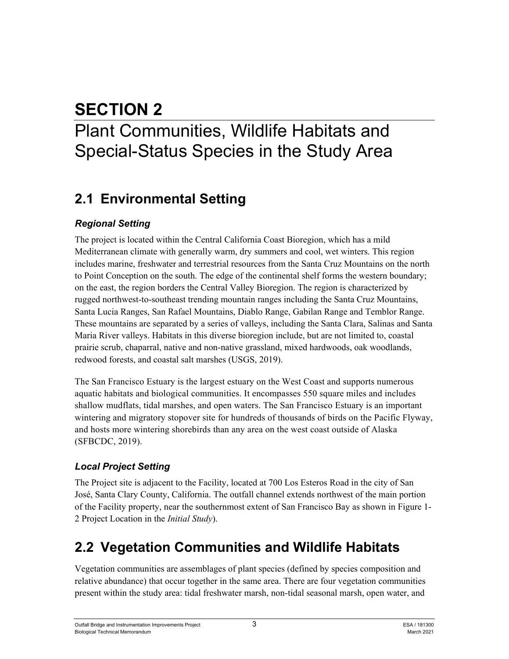# <span id="page-8-0"></span>**SECTION 2**

# <span id="page-8-1"></span>Plant Communities, Wildlife Habitats and Special-Status Species in the Study Area

### <span id="page-8-2"></span>**2.1 Environmental Setting**

#### *Regional Setting*

The project is located within the Central California Coast Bioregion, which has a mild Mediterranean climate with generally warm, dry summers and cool, wet winters. This region includes marine, freshwater and terrestrial resources from the Santa Cruz Mountains on the north to Point Conception on the south. The edge of the continental shelf forms the western boundary; on the east, the region borders the Central Valley Bioregion. The region is characterized by rugged northwest-to-southeast trending mountain ranges including the Santa Cruz Mountains, Santa Lucia Ranges, San Rafael Mountains, Diablo Range, Gabilan Range and Temblor Range. These mountains are separated by a series of valleys, including the Santa Clara, Salinas and Santa Maria River valleys. Habitats in this diverse bioregion include, but are not limited to, coastal prairie scrub, chaparral, native and non-native grassland, mixed hardwoods, oak woodlands, redwood forests, and coastal salt marshes (USGS, 2019).

The San Francisco Estuary is the largest estuary on the West Coast and supports numerous aquatic habitats and biological communities. It encompasses 550 square miles and includes shallow mudflats, tidal marshes, and open waters. The San Francisco Estuary is an important wintering and migratory stopover site for hundreds of thousands of birds on the Pacific Flyway, and hosts more wintering shorebirds than any area on the west coast outside of Alaska (SFBCDC, 2019).

#### *Local Project Setting*

The Project site is adjacent to the Facility, located at 700 Los Esteros Road in the city of San José, Santa Clary County, California. The outfall channel extends northwest of the main portion of the Facility property, near the southernmost extent of San Francisco Bay as shown in Figure 1- 2 Project Location in the *Initial Study*).

# <span id="page-8-3"></span>**2.2 Vegetation Communities and Wildlife Habitats**

Vegetation communities are assemblages of plant species (defined by species composition and relative abundance) that occur together in the same area. There are four vegetation communities present within the study area: tidal freshwater marsh, non-tidal seasonal marsh, open water, and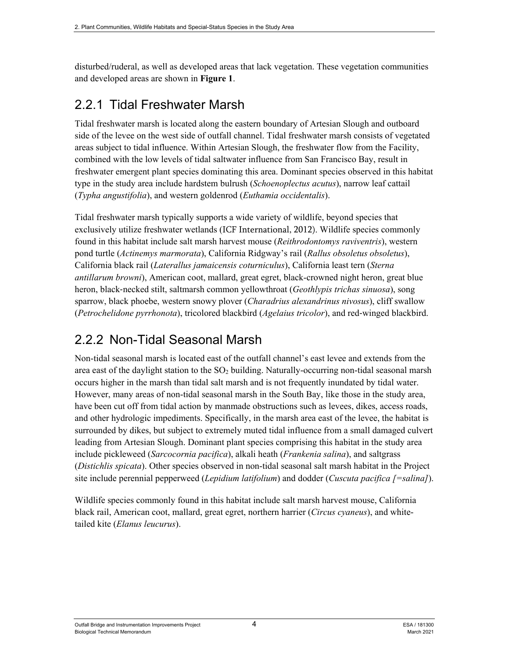disturbed/ruderal, as well as developed areas that lack vegetation. These vegetation communities and developed areas are shown in **Figure 1**.

### 2.2.1 Tidal Freshwater Marsh

Tidal freshwater marsh is located along the eastern boundary of Artesian Slough and outboard side of the levee on the west side of outfall channel. Tidal freshwater marsh consists of vegetated areas subject to tidal influence. Within Artesian Slough, the freshwater flow from the Facility, combined with the low levels of tidal saltwater influence from San Francisco Bay, result in freshwater emergent plant species dominating this area. Dominant species observed in this habitat type in the study area include hardstem bulrush (*Schoenoplectus acutus*), narrow leaf cattail (*Typha angustifolia*), and western goldenrod (*Euthamia occidentalis*).

Tidal freshwater marsh typically supports a wide variety of wildlife, beyond species that exclusively utilize freshwater wetlands (ICF International, 2012). Wildlife species commonly found in this habitat include salt marsh harvest mouse (*Reithrodontomys raviventris*), western pond turtle (*Actinemys marmorata*), California Ridgway's rail (*Rallus obsoletus obsoletus*), California black rail (*Laterallus jamaicensis coturniculus*), California least tern (*Sterna antillarum browni*), American coot, mallard, great egret, black-crowned night heron, great blue heron, black‐necked stilt, saltmarsh common yellowthroat (*Geothlypis trichas sinuosa*), song sparrow, black phoebe, western snowy plover (*Charadrius alexandrinus nivosus*), cliff swallow (*Petrochelidone pyrrhonota*), tricolored blackbird (*Agelaius tricolor*), and red‐winged blackbird.

### 2.2.2 Non-Tidal Seasonal Marsh

Non-tidal seasonal marsh is located east of the outfall channel's east levee and extends from the area east of the daylight station to the  $SO<sub>2</sub>$  building. Naturally-occurring non-tidal seasonal marsh occurs higher in the marsh than tidal salt marsh and is not frequently inundated by tidal water. However, many areas of non‐tidal seasonal marsh in the South Bay, like those in the study area, have been cut off from tidal action by manmade obstructions such as levees, dikes, access roads, and other hydrologic impediments. Specifically, in the marsh area east of the levee, the habitat is surrounded by dikes, but subject to extremely muted tidal influence from a small damaged culvert leading from Artesian Slough. Dominant plant species comprising this habitat in the study area include pickleweed (*Sarcocornia pacifica*), alkali heath (*Frankenia salina*), and saltgrass (*Distichlis spicata*). Other species observed in non‐tidal seasonal salt marsh habitat in the Project site include perennial pepperweed (*Lepidium latifolium*) and dodder (*Cuscuta pacifica [=salina]*).

Wildlife species commonly found in this habitat include salt marsh harvest mouse, California black rail, American coot, mallard, great egret, northern harrier (*Circus cyaneus*), and whitetailed kite (*Elanus leucurus*).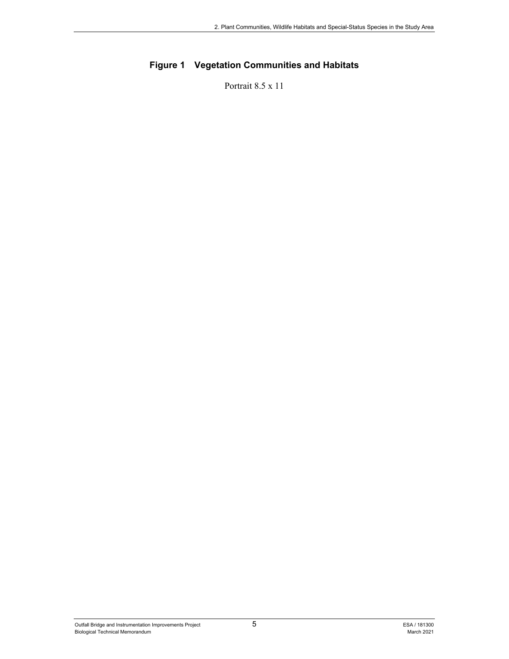#### <span id="page-10-0"></span>**Figure 1 Vegetation Communities and Habitats**

Portrait 8.5 x 11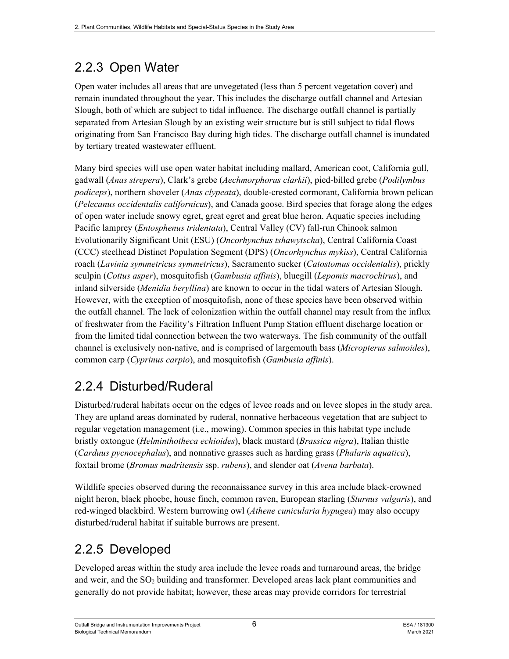### 2.2.3 Open Water

Open water includes all areas that are unvegetated (less than 5 percent vegetation cover) and remain inundated throughout the year. This includes the discharge outfall channel and Artesian Slough, both of which are subject to tidal influence. The discharge outfall channel is partially separated from Artesian Slough by an existing weir structure but is still subject to tidal flows originating from San Francisco Bay during high tides. The discharge outfall channel is inundated by tertiary treated wastewater effluent.

Many bird species will use open water habitat including mallard, American coot, California gull, gadwall (*Anas strepera*), Clark's grebe (*Aechmorphorus clarkii*), pied-billed grebe (*Podilymbus podiceps*), northern shoveler (*Anas clypeata*), double-crested cormorant, California brown pelican (*Pelecanus occidentalis californicus*), and Canada goose. Bird species that forage along the edges of open water include snowy egret, great egret and great blue heron. Aquatic species including Pacific lamprey (*Entosphenus tridentata*), Central Valley (CV) fall-run Chinook salmon Evolutionarily Significant Unit (ESU) (*Oncorhynchus tshawytscha*), Central California Coast (CCC) steelhead Distinct Population Segment (DPS) (*Oncorhynchus mykiss*), Central California roach (*Lavinia symmetricus symmetricus*), Sacramento sucker (*Catostomus occidentalis*), prickly sculpin (*Cottus asper*), mosquitofish (*Gambusia affinis*), bluegill (*Lepomis macrochirus*), and inland silverside (*Menidia beryllina*) are known to occur in the tidal waters of Artesian Slough. However, with the exception of mosquitofish, none of these species have been observed within the outfall channel. The lack of colonization within the outfall channel may result from the influx of freshwater from the Facility's Filtration Influent Pump Station effluent discharge location or from the limited tidal connection between the two waterways. The fish community of the outfall channel is exclusively non-native, and is comprised of largemouth bass (*Micropterus salmoides*), common carp (*Cyprinus carpio*), and mosquitofish (*Gambusia affinis*).

### 2.2.4 Disturbed/Ruderal

Disturbed/ruderal habitats occur on the edges of levee roads and on levee slopes in the study area. They are upland areas dominated by ruderal, nonnative herbaceous vegetation that are subject to regular vegetation management (i.e., mowing). Common species in this habitat type include bristly oxtongue (*Helminthotheca echioides*), black mustard (*Brassica nigra*), Italian thistle (*Carduus pycnocephalus*), and nonnative grasses such as harding grass (*Phalaris aquatica*), foxtail brome (*Bromus madritensis* ssp. *rubens*), and slender oat (*Avena barbata*).

Wildlife species observed during the reconnaissance survey in this area include black-crowned night heron, black phoebe, house finch, common raven, European starling (*Sturnus vulgaris*), and red-winged blackbird. Western burrowing owl (*Athene cunicularia hypugea*) may also occupy disturbed/ruderal habitat if suitable burrows are present.

# 2.2.5 Developed

Developed areas within the study area include the levee roads and turnaround areas, the bridge and weir, and the SO<sub>2</sub> building and transformer. Developed areas lack plant communities and generally do not provide habitat; however, these areas may provide corridors for terrestrial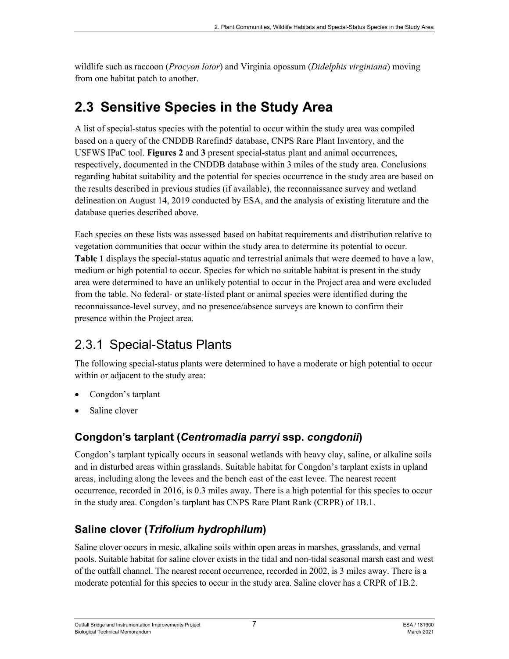wildlife such as raccoon (*Procyon lotor*) and Virginia opossum (*Didelphis virginiana*) moving from one habitat patch to another.

### <span id="page-12-0"></span>**2.3 Sensitive Species in the Study Area**

A list of special-status species with the potential to occur within the study area was compiled based on a query of the CNDDB Rarefind5 database, CNPS Rare Plant Inventory, and the USFWS IPaC tool. **Figures 2** and **3** present special-status plant and animal occurrences, respectively, documented in the CNDDB database within 3 miles of the study area. Conclusions regarding habitat suitability and the potential for species occurrence in the study area are based on the results described in previous studies (if available), the reconnaissance survey and wetland delineation on August 14, 2019 conducted by ESA, and the analysis of existing literature and the database queries described above.

Each species on these lists was assessed based on habitat requirements and distribution relative to vegetation communities that occur within the study area to determine its potential to occur. **Table 1** displays the special-status aquatic and terrestrial animals that were deemed to have a low, medium or high potential to occur. Species for which no suitable habitat is present in the study area were determined to have an unlikely potential to occur in the Project area and were excluded from the table. No federal- or state-listed plant or animal species were identified during the reconnaissance-level survey, and no presence/absence surveys are known to confirm their presence within the Project area.

### 2.3.1 Special-Status Plants

The following special-status plants were determined to have a moderate or high potential to occur within or adjacent to the study area:

- Congdon's tarplant
- Saline clover

### **Congdon's tarplant (***Centromadia parryi* **ssp.** *congdonii***)**

Congdon's tarplant typically occurs in seasonal wetlands with heavy clay, saline, or alkaline soils and in disturbed areas within grasslands. Suitable habitat for Congdon's tarplant exists in upland areas, including along the levees and the bench east of the east levee. The nearest recent occurrence, recorded in 2016, is 0.3 miles away. There is a high potential for this species to occur in the study area. Congdon's tarplant has CNPS Rare Plant Rank (CRPR) of 1B.1.

### **Saline clover (***Trifolium hydrophilum***)**

Saline clover occurs in mesic, alkaline soils within open areas in marshes, grasslands, and vernal pools. Suitable habitat for saline clover exists in the tidal and non-tidal seasonal marsh east and west of the outfall channel. The nearest recent occurrence, recorded in 2002, is 3 miles away. There is a moderate potential for this species to occur in the study area. Saline clover has a CRPR of 1B.2.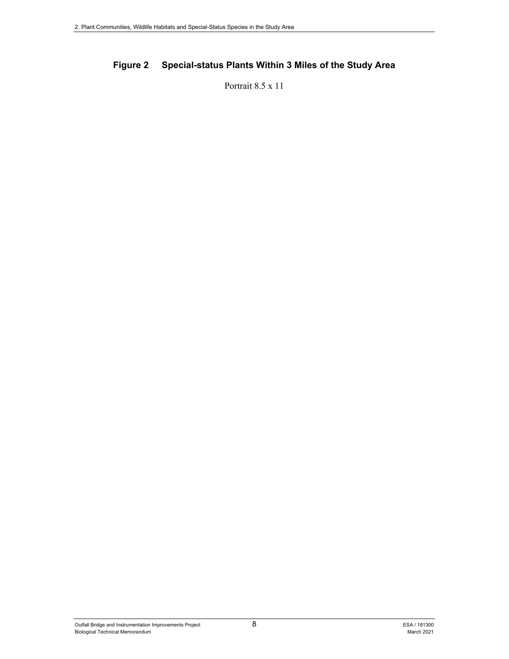#### <span id="page-13-0"></span>**Figure 2 Special-status Plants Within 3 Miles of the Study Area**

Portrait 8.5 x 11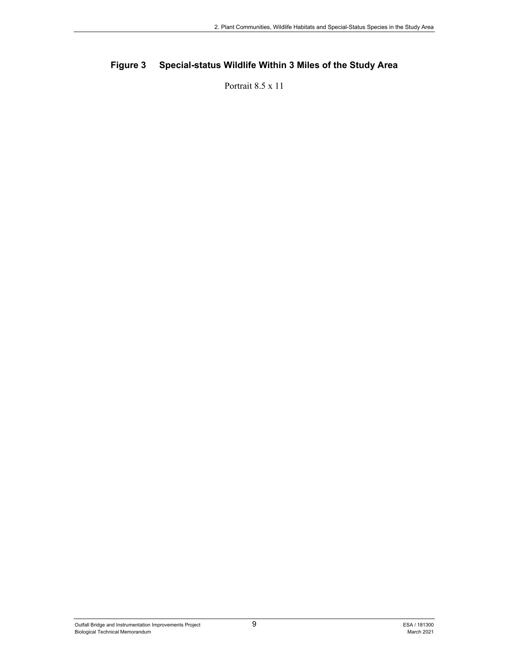#### <span id="page-14-0"></span>**Figure 3 Special-status Wildlife Within 3 Miles of the Study Area**

Portrait 8.5 x 11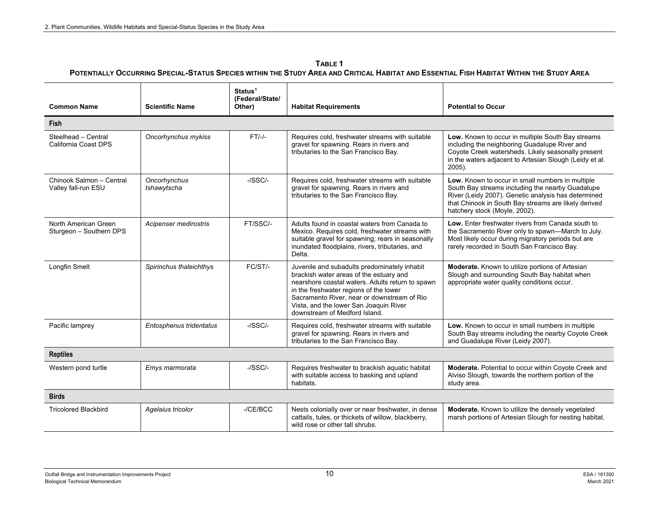**TABLE 1 POTENTIALLY OCCURRING SPECIAL-STATUS SPECIES WITHIN THE STUDY AREA AND CRITICAL HABITAT AND ESSENTIAL FISH HABITAT WITHIN THE STUDY AREA**

| <b>Common Name</b>                              | <b>Scientific Name</b>      | Status <sup>1</sup><br>(Federal/State/<br>Other) | <b>Habitat Requirements</b>                                                                                                                                                                                                                                                                                     | <b>Potential to Occur</b>                                                                                                                                                                                                                            |
|-------------------------------------------------|-----------------------------|--------------------------------------------------|-----------------------------------------------------------------------------------------------------------------------------------------------------------------------------------------------------------------------------------------------------------------------------------------------------------------|------------------------------------------------------------------------------------------------------------------------------------------------------------------------------------------------------------------------------------------------------|
| Fish                                            |                             |                                                  |                                                                                                                                                                                                                                                                                                                 |                                                                                                                                                                                                                                                      |
| Steelhead - Central<br>California Coast DPS     | Oncorhynchus mykiss         | $FT/-/-$                                         | Requires cold, freshwater streams with suitable<br>gravel for spawning. Rears in rivers and<br>tributaries to the San Francisco Bay.                                                                                                                                                                            | Low. Known to occur in multiple South Bay streams<br>including the neighboring Guadalupe River and<br>Coyote Creek watersheds. Likely seasonally present<br>in the waters adjacent to Artesian Slough (Leidy et al.<br>$2005$ ).                     |
| Chinook Salmon - Central<br>Valley fall-run ESU | Oncorhynchus<br>tshawytscha | $-$ /SSC/-                                       | Requires cold, freshwater streams with suitable<br>gravel for spawning. Rears in rivers and<br>tributaries to the San Francisco Bay.                                                                                                                                                                            | Low. Known to occur in small numbers in multiple<br>South Bay streams including the nearby Guadalupe<br>River (Leidy 2007). Genetic analysis has determined<br>that Chinook in South Bay streams are likely derived<br>hatchery stock (Moyle, 2002). |
| North American Green<br>Sturgeon - Southern DPS | Acipenser medirostris       | FT/SSC/-                                         | Adults found in coastal waters from Canada to<br>Mexico. Requires cold, freshwater streams with<br>suitable gravel for spawning; rears in seasonally<br>inundated floodplains, rivers, tributaries, and<br>Delta.                                                                                               | Low. Enter freshwater rivers from Canada south to<br>the Sacramento River only to spawn-March to July.<br>Most likely occur during migratory periods but are<br>rarely recorded in South San Francisco Bay.                                          |
| <b>Longfin Smelt</b>                            | Spirinchus thaleichthys     | FC/ST/-                                          | Juvenile and subadults predominately inhabit<br>brackish water areas of the estuary and<br>nearshore coastal waters. Adults return to spawn<br>in the freshwater regions of the lower<br>Sacramento River, near or downstream of Rio<br>Vista, and the lower San Joaquin River<br>downstream of Medford Island. | Moderate. Known to utilize portions of Artesian<br>Slough and surrounding South Bay habitat when<br>appropriate water quality conditions occur.                                                                                                      |
| Pacific lamprey                                 | Entosphenus tridentatus     | $-SSC/-$                                         | Requires cold, freshwater streams with suitable<br>gravel for spawning. Rears in rivers and<br>tributaries to the San Francisco Bay.                                                                                                                                                                            | Low. Known to occur in small numbers in multiple<br>South Bay streams including the nearby Coyote Creek<br>and Guadalupe River (Leidy 2007).                                                                                                         |
| <b>Reptiles</b>                                 |                             |                                                  |                                                                                                                                                                                                                                                                                                                 |                                                                                                                                                                                                                                                      |
| Western pond turtle                             | Emys marmorata              | $-$ /SSC/-                                       | Requires freshwater to brackish aquatic habitat<br>with suitable access to basking and upland<br>habitats.                                                                                                                                                                                                      | Moderate. Potential to occur within Coyote Creek and<br>Alviso Slough, towards the northern portion of the<br>study area.                                                                                                                            |
| <b>Birds</b>                                    |                             |                                                  |                                                                                                                                                                                                                                                                                                                 |                                                                                                                                                                                                                                                      |
| <b>Tricolored Blackbird</b>                     | Agelaius tricolor           | $-CE/BCC$                                        | Nests colonially over or near freshwater, in dense<br>cattails, tules, or thickets of willow, blackberry,<br>wild rose or other tall shrubs.                                                                                                                                                                    | Moderate. Known to utilize the densely vegetated<br>marsh portions of Artesian Slough for nesting habitat.                                                                                                                                           |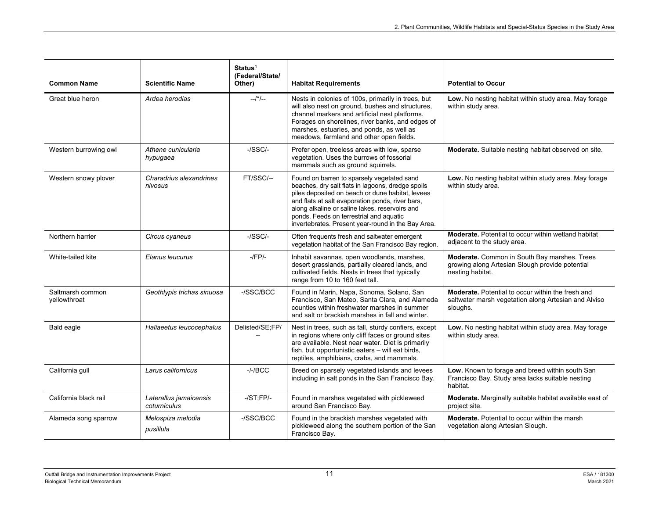| <b>Common Name</b>               | <b>Scientific Name</b>                 | Status <sup>1</sup><br>(Federal/State/<br>Other) | <b>Habitat Requirements</b>                                                                                                                                                                                                                                                                                                                                | <b>Potential to Occur</b>                                                                                             |
|----------------------------------|----------------------------------------|--------------------------------------------------|------------------------------------------------------------------------------------------------------------------------------------------------------------------------------------------------------------------------------------------------------------------------------------------------------------------------------------------------------------|-----------------------------------------------------------------------------------------------------------------------|
| Great blue heron                 | Ardea herodias                         | $-1$ / $-$                                       | Nests in colonies of 100s, primarily in trees, but<br>will also nest on ground, bushes and structures,<br>channel markers and artificial nest platforms.<br>Forages on shorelines, river banks, and edges of<br>marshes, estuaries, and ponds, as well as<br>meadows, farmland and other open fields.                                                      | Low. No nesting habitat within study area. May forage<br>within study area.                                           |
| Western burrowing owl            | Athene cunicularia<br>hypugaea         | $-$ /SSC/-                                       | Prefer open, treeless areas with low, sparse<br>vegetation. Uses the burrows of fossorial<br>mammals such as ground squirrels.                                                                                                                                                                                                                             | Moderate. Suitable nesting habitat observed on site.                                                                  |
| Western snowy plover             | Charadrius alexandrines<br>nivosus     | FT/SSC/--                                        | Found on barren to sparsely vegetated sand<br>beaches, dry salt flats in lagoons, dredge spoils<br>piles deposited on beach or dune habitat, levees<br>and flats at salt evaporation ponds, river bars,<br>along alkaline or saline lakes, reservoirs and<br>ponds. Feeds on terrestrial and aquatic<br>invertebrates. Present year-round in the Bay Area. | Low. No nesting habitat within study area. May forage<br>within study area.                                           |
| Northern harrier                 | Circus cyaneus                         | $-SSC/-$                                         | Often frequents fresh and saltwater emergent<br>vegetation habitat of the San Francisco Bay region.                                                                                                                                                                                                                                                        | Moderate. Potential to occur within wetland habitat<br>adjacent to the study area.                                    |
| White-tailed kite                | Elanus leucurus                        | $-$ /FP/ $-$                                     | Inhabit savannas, open woodlands, marshes,<br>desert grasslands, partially cleared lands, and<br>cultivated fields. Nests in trees that typically<br>range from 10 to 160 feet tall.                                                                                                                                                                       | Moderate. Common in South Bay marshes. Trees<br>growing along Artesian Slough provide potential<br>nesting habitat.   |
| Saltmarsh common<br>vellowthroat | Geothlypis trichas sinuosa             | -/SSC/BCC                                        | Found in Marin, Napa, Sonoma, Solano, San<br>Francisco, San Mateo, Santa Clara, and Alameda<br>counties within freshwater marshes in summer<br>and salt or brackish marshes in fall and winter.                                                                                                                                                            | Moderate. Potential to occur within the fresh and<br>saltwater marsh vegetation along Artesian and Alviso<br>sloughs. |
| Bald eagle                       | Haliaeetus leucocephalus               | Delisted/SE:FP/                                  | Nest in trees, such as tall, sturdy confiers, except<br>in regions where only cliff faces or ground sites<br>are available. Nest near water. Diet is primarily<br>fish, but opportunistic eaters - will eat birds,<br>reptiles, amphibians, crabs, and mammals.                                                                                            | Low. No nesting habitat within study area. May forage<br>within study area.                                           |
| California gull                  | Larus californicus                     | $-/-/BCC$                                        | Breed on sparsely vegetated islands and levees<br>including in salt ponds in the San Francisco Bay.                                                                                                                                                                                                                                                        | Low. Known to forage and breed within south San<br>Francisco Bay. Study area lacks suitable nesting<br>habitat.       |
| California black rail            | Laterallus jamaicensis<br>coturniculus | $-ST$ ;FP/-                                      | Found in marshes vegetated with pickleweed<br>around San Francisco Bay.                                                                                                                                                                                                                                                                                    | Moderate. Marginally suitable habitat available east of<br>project site.                                              |
| Alameda song sparrow             | Melospiza melodia<br>pusillula         | -/SSC/BCC                                        | Found in the brackish marshes vegetated with<br>pickleweed along the southern portion of the San<br>Francisco Bay.                                                                                                                                                                                                                                         | Moderate. Potential to occur within the marsh<br>vegetation along Artesian Slough.                                    |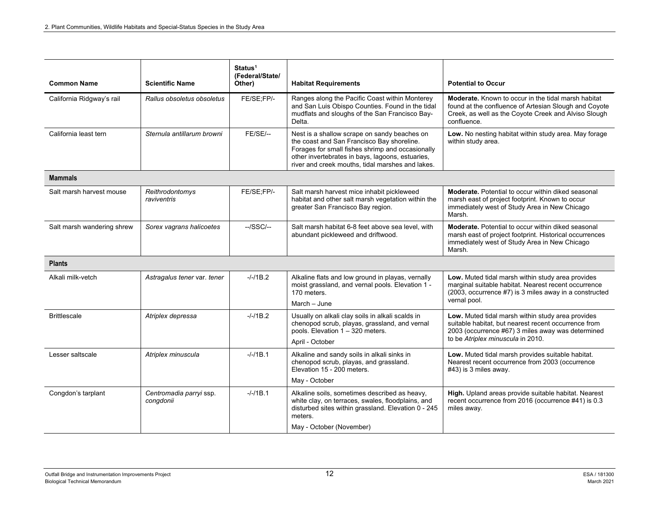| <b>Common Name</b>         | <b>Scientific Name</b>               | Status <sup>1</sup><br>(Federal/State/<br>Other) | <b>Habitat Requirements</b>                                                                                                                                                                                                                                                                                                           | <b>Potential to Occur</b>                                                                                                                                                                  |  |
|----------------------------|--------------------------------------|--------------------------------------------------|---------------------------------------------------------------------------------------------------------------------------------------------------------------------------------------------------------------------------------------------------------------------------------------------------------------------------------------|--------------------------------------------------------------------------------------------------------------------------------------------------------------------------------------------|--|
| California Ridgway's rail  | Rallus obsoletus obsoletus           | FE/SE;FP/-                                       | Ranges along the Pacific Coast within Monterey<br>and San Luis Obispo Counties. Found in the tidal<br>mudflats and sloughs of the San Francisco Bay-<br>Delta.                                                                                                                                                                        | <b>Moderate.</b> Known to occur in the tidal marsh habitat<br>found at the confluence of Artesian Slough and Coyote<br>Creek, as well as the Coyote Creek and Alviso Slough<br>confluence. |  |
| California least tern      | Sternula antillarum browni           | $FE/SE$ --                                       | Nest is a shallow scrape on sandy beaches on<br>Low. No nesting habitat within study area. May forage<br>the coast and San Francisco Bay shoreline.<br>within study area.<br>Forages for small fishes shrimp and occasionally<br>other invertebrates in bays, lagoons, estuaries,<br>river and creek mouths, tidal marshes and lakes. |                                                                                                                                                                                            |  |
| <b>Mammals</b>             |                                      |                                                  |                                                                                                                                                                                                                                                                                                                                       |                                                                                                                                                                                            |  |
| Salt marsh harvest mouse   | Reithrodontomys<br>raviventris       | FE/SE;FP/-                                       | Salt marsh harvest mice inhabit pickleweed<br>habitat and other salt marsh vegetation within the<br>greater San Francisco Bay region.                                                                                                                                                                                                 | <b>Moderate.</b> Potential to occur within diked seasonal<br>marsh east of project footprint. Known to occur<br>immediately west of Study Area in New Chicago<br>Marsh.                    |  |
| Salt marsh wandering shrew | Sorex vagrans halicoetes             | --/SSC/--                                        | Salt marsh habitat 6-8 feet above sea level, with<br>abundant pickleweed and driftwood.                                                                                                                                                                                                                                               | <b>Moderate.</b> Potential to occur within diked seasonal<br>marsh east of project footprint. Historical occurrences<br>immediately west of Study Area in New Chicago<br>Marsh.            |  |
| <b>Plants</b>              |                                      |                                                  |                                                                                                                                                                                                                                                                                                                                       |                                                                                                                                                                                            |  |
| Alkali milk-vetch          | Astragalus tener var. tener          | $-/-/1B.2$                                       | Alkaline flats and low ground in playas, vernally<br>moist grassland, and vernal pools. Elevation 1 -<br>170 meters.                                                                                                                                                                                                                  | Low. Muted tidal marsh within study area provides<br>marginal suitable habitat. Nearest recent occurrence<br>(2003, occurrence #7) is 3 miles away in a constructed                        |  |
|                            |                                      |                                                  | March - June                                                                                                                                                                                                                                                                                                                          | vernal pool.                                                                                                                                                                               |  |
| <b>Brittlescale</b>        | Atriplex depressa                    | $-/-/1B.2$                                       | Usually on alkali clay soils in alkali scalds in<br>chenopod scrub, playas, grassland, and vernal<br>pools. Elevation 1 - 320 meters.                                                                                                                                                                                                 | Low. Muted tidal marsh within study area provides<br>suitable habitat, but nearest recent occurrence from<br>2003 (occurrence #67) 3 miles away was determined                             |  |
|                            |                                      |                                                  | April - October                                                                                                                                                                                                                                                                                                                       | to be Atriplex minuscula in 2010.                                                                                                                                                          |  |
| Lesser saltscale           | Atriplex minuscula                   | $-/-/1B.1$                                       | Alkaline and sandy soils in alkali sinks in<br>chenopod scrub, playas, and grassland.<br>Elevation 15 - 200 meters.                                                                                                                                                                                                                   | Low. Muted tidal marsh provides suitable habitat.<br>Nearest recent occurrence from 2003 (occurrence<br>#43) is 3 miles away.                                                              |  |
|                            |                                      |                                                  | May - October                                                                                                                                                                                                                                                                                                                         |                                                                                                                                                                                            |  |
| Congdon's tarplant         | Centromadia parryi ssp.<br>congdonii | $-/-/1B.1$                                       | Alkaline soils, sometimes described as heavy,<br>white clay, on terraces, swales, floodplains, and<br>disturbed sites within grassland. Elevation 0 - 245<br>meters.                                                                                                                                                                  | High. Upland areas provide suitable habitat. Nearest<br>recent occurrence from 2016 (occurrence #41) is 0.3<br>miles away.                                                                 |  |
|                            |                                      |                                                  | May - October (November)                                                                                                                                                                                                                                                                                                              |                                                                                                                                                                                            |  |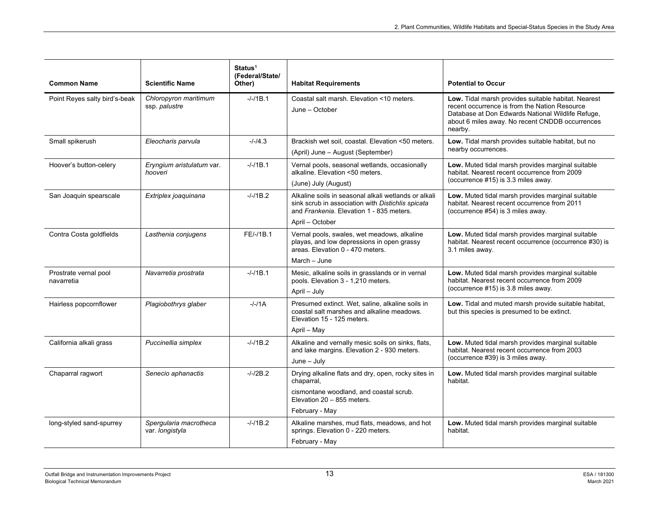| <b>Common Name</b>                  | <b>Scientific Name</b>                    | Status <sup>1</sup><br>(Federal/State/<br>Other) | <b>Habitat Requirements</b>                                                                                                                           | <b>Potential to Occur</b>                                                                                                                                 |
|-------------------------------------|-------------------------------------------|--------------------------------------------------|-------------------------------------------------------------------------------------------------------------------------------------------------------|-----------------------------------------------------------------------------------------------------------------------------------------------------------|
| Point Reyes salty bird's-beak       | Chloropyron maritimum<br>ssp. palustre    | $-/-/1B.1$                                       | Coastal salt marsh. Elevation <10 meters.<br>June - October                                                                                           | Low. Tidal marsh provides suitable habitat. Nearest<br>recent occurrence is from the Nation Resource<br>Database at Don Edwards National Wildlife Refuge, |
|                                     |                                           |                                                  |                                                                                                                                                       | about 6 miles away. No recent CNDDB occurrences<br>nearby.                                                                                                |
| Small spikerush                     | Eleocharis parvula                        | $-/-/4.3$                                        | Brackish wet soil, coastal. Elevation <50 meters.<br>(April) June - August (September)                                                                | Low. Tidal marsh provides suitable habitat, but no<br>nearby occurrences.                                                                                 |
| Hoover's button-celery              | Eryngium aristulatum var.                 | $-/-/1B.1$                                       | Vernal pools, seasonal wetlands, occasionally                                                                                                         | Low. Muted tidal marsh provides marginal suitable                                                                                                         |
|                                     | hooveri                                   |                                                  | alkaline. Elevation <50 meters.                                                                                                                       | habitat. Nearest recent occurrence from 2009                                                                                                              |
|                                     |                                           |                                                  | (June) July (August)                                                                                                                                  | (occurrence #15) is 3.3 miles away.                                                                                                                       |
| San Joaquin spearscale              | Extriplex joaquinana                      | $-/-/1B.2$                                       | Alkaline soils in seasonal alkali wetlands or alkali<br>sink scrub in association with Distichlis spicata<br>and Frankenia. Elevation 1 - 835 meters. | Low. Muted tidal marsh provides marginal suitable<br>habitat. Nearest recent occurrence from 2011<br>(occurrence #54) is 3 miles away.                    |
|                                     |                                           |                                                  | April - October                                                                                                                                       |                                                                                                                                                           |
| Contra Costa goldfields             | Lasthenia conjugens                       | FE/-/1B.1                                        | Vernal pools, swales, wet meadows, alkaline<br>playas, and low depressions in open grassy<br>areas. Elevation 0 - 470 meters.                         | Low. Muted tidal marsh provides marginal suitable<br>habitat. Nearest recent occurrence (occurrence #30) is<br>3.1 miles away.                            |
|                                     |                                           |                                                  | March - June                                                                                                                                          |                                                                                                                                                           |
| Prostrate vernal pool<br>navarretia | Navarretia prostrata                      | $-/-/1B.1$                                       | Mesic, alkaline soils in grasslands or in vernal<br>pools. Elevation 3 - 1,210 meters.                                                                | Low. Muted tidal marsh provides marginal suitable<br>habitat. Nearest recent occurrence from 2009                                                         |
|                                     |                                           |                                                  | April - July                                                                                                                                          | (occurrence #15) is 3.8 miles away.                                                                                                                       |
| Hairless popcornflower              | Plagiobothrys glaber                      | $-/-/1A$                                         | Presumed extinct. Wet, saline, alkaline soils in<br>coastal salt marshes and alkaline meadows.<br>Elevation 15 - 125 meters.                          | Low. Tidal and muted marsh provide suitable habitat,<br>but this species is presumed to be extinct.                                                       |
|                                     |                                           |                                                  | April – May                                                                                                                                           |                                                                                                                                                           |
| California alkali grass             | Puccinellia simplex                       | $-/-/1B.2$                                       | Alkaline and vernally mesic soils on sinks, flats,<br>and lake margins. Elevation 2 - 930 meters.                                                     | Low. Muted tidal marsh provides marginal suitable<br>habitat. Nearest recent occurrence from 2003                                                         |
|                                     |                                           |                                                  | $June - July$                                                                                                                                         | (occurrence #39) is 3 miles away.                                                                                                                         |
| Chaparral ragwort                   | Senecio aphanactis                        | $-/-/2B.2$                                       | Drying alkaline flats and dry, open, rocky sites in<br>chaparral,                                                                                     | Low. Muted tidal marsh provides marginal suitable<br>habitat.                                                                                             |
|                                     |                                           |                                                  | cismontane woodland, and coastal scrub.<br>Elevation 20 - 855 meters.                                                                                 |                                                                                                                                                           |
|                                     |                                           |                                                  | February - May                                                                                                                                        |                                                                                                                                                           |
| long-styled sand-spurrey            | Spergularia macrotheca<br>var. longistyla | $-/-/1B.2$                                       | Alkaline marshes, mud flats, meadows, and hot<br>springs. Elevation 0 - 220 meters.                                                                   | Low. Muted tidal marsh provides marginal suitable<br>habitat.                                                                                             |
|                                     |                                           |                                                  | February - May                                                                                                                                        |                                                                                                                                                           |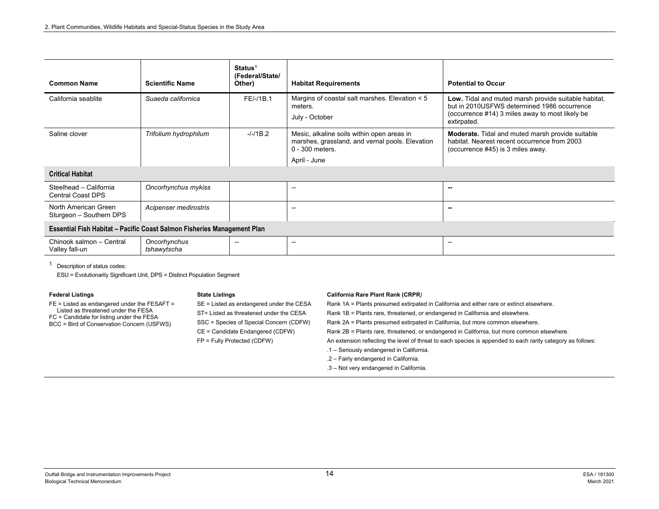| <b>Common Name</b>                                                      | <b>Scientific Name</b>      | Status <sup>1</sup><br>(Federal/State/<br>Other) | <b>Habitat Requirements</b>                                                                                                      | <b>Potential to Occur</b>                                                                                                                                             |
|-------------------------------------------------------------------------|-----------------------------|--------------------------------------------------|----------------------------------------------------------------------------------------------------------------------------------|-----------------------------------------------------------------------------------------------------------------------------------------------------------------------|
| California seablite                                                     | Suaeda californica          | FE/-/1B.1                                        | Margins of coastal salt marshes. Elevation < 5<br>meters.<br>July - October                                                      | Low. Tidal and muted marsh provide suitable habitat,<br>but in 2010USFWS determined 1986 occurrence<br>(occurrence #14) 3 miles away to most likely be<br>extirpated. |
| Saline clover                                                           | Trifolium hydrophilum       | $-/-/1B.2$                                       | Mesic, alkaline soils within open areas in<br>marshes, grassland, and vernal pools. Elevation<br>0 - 300 meters.<br>April - June | Moderate. Tidal and muted marsh provide suitable<br>habitat. Nearest recent occurrence from 2003<br>(occurrence #45) is 3 miles away.                                 |
| <b>Critical Habitat</b>                                                 |                             |                                                  |                                                                                                                                  |                                                                                                                                                                       |
| Steelhead - California<br><b>Central Coast DPS</b>                      | Oncorhynchus mykiss         |                                                  | $\overline{\phantom{a}}$                                                                                                         | --                                                                                                                                                                    |
| North American Green<br>Sturgeon - Southern DPS                         | Acipenser medirostris       |                                                  | $\overline{\phantom{a}}$                                                                                                         |                                                                                                                                                                       |
| Essential Fish Habitat - Pacific Coast Salmon Fisheries Management Plan |                             |                                                  |                                                                                                                                  |                                                                                                                                                                       |
| Chinook salmon - Central<br>Valley fall-un                              | Oncorhynchus<br>tshawytscha | --                                               | $\hspace{0.05cm}$                                                                                                                | $\overline{\phantom{a}}$                                                                                                                                              |

<sup>1</sup> Description of status codes:

ESU = Evolutionarily Significant Unit, DPS = Distinct Population Segment

#### **Federal Listings**

FE = Listed as endangered under the FESAFT = Listed as threatened under the FESA FC = Candidate for listing under the FESA

BCC = Bird of Conservation Concern (USFWS)

#### **State Listings**

SE = Listed as endangered under the CESA ST= Listed as threatened under the CESA SSC = Species of Special Concern (CDFW) CE = Candidate Endangered (CDFW) FP = Fully Protected (CDFW)

#### **California Rare Plant Rank (CRPR***)*

Rank 1A = Plants presumed extirpated in California and either rare or extinct elsewhere. Rank 1B = Plants rare, threatened, or endangered in California and elsewhere. Rank 2A = Plants presumed extirpated in California, but more common elsewhere. Rank 2B = Plants rare, threatened, or endangered in California, but more common elsewhere. An extension reflecting the level of threat to each species is appended to each rarity category as follows: .1 – Seriously endangered in California. .2 – Fairly endangered in California. .3 – Not very endangered in California.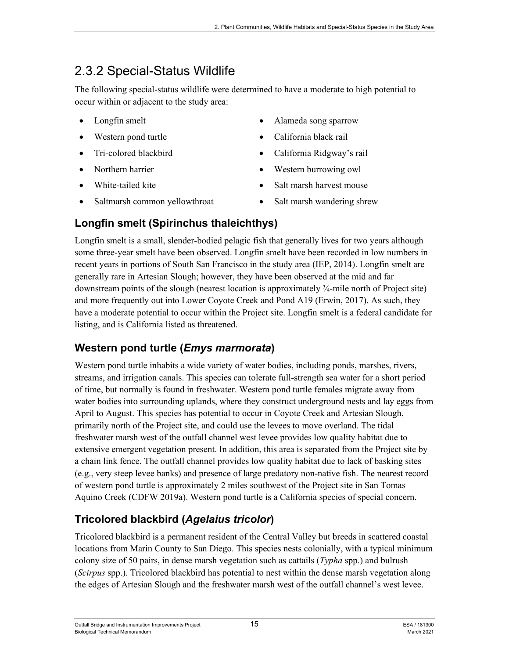### 2.3.2 Special-Status Wildlife

The following special-status wildlife were determined to have a moderate to high potential to occur within or adjacent to the study area:

- Longfin smelt
- Western pond turtle
- Tri-colored blackbird
- Northern harrier
- White-tailed kite
- Saltmarsh common yellowthroat
- Alameda song sparrow
- California black rail
- California Ridgway's rail
- Western burrowing owl
- Salt marsh harvest mouse
- Salt marsh wandering shrew

### **Longfin smelt (Spirinchus thaleichthys)**

Longfin smelt is a small, slender‐bodied pelagic fish that generally lives for two years although some three-year smelt have been observed. Longfin smelt have been recorded in low numbers in recent years in portions of South San Francisco in the study area (IEP, 2014). Longfin smelt are generally rare in Artesian Slough; however, they have been observed at the mid and far downstream points of the slough (nearest location is approximately ¾-mile north of Project site) and more frequently out into Lower Coyote Creek and Pond A19 (Erwin, 2017). As such, they have a moderate potential to occur within the Project site. Longfin smelt is a federal candidate for listing, and is California listed as threatened.

### **Western pond turtle (***Emys marmorata***)**

Western pond turtle inhabits a wide variety of water bodies, including ponds, marshes, rivers, streams, and irrigation canals. This species can tolerate full‐strength sea water for a short period of time, but normally is found in freshwater. Western pond turtle females migrate away from water bodies into surrounding uplands, where they construct underground nests and lay eggs from April to August. This species has potential to occur in Coyote Creek and Artesian Slough, primarily north of the Project site, and could use the levees to move overland. The tidal freshwater marsh west of the outfall channel west levee provides low quality habitat due to extensive emergent vegetation present. In addition, this area is separated from the Project site by a chain link fence. The outfall channel provides low quality habitat due to lack of basking sites (e.g., very steep levee banks) and presence of large predatory non-native fish. The nearest record of western pond turtle is approximately 2 miles southwest of the Project site in San Tomas Aquino Creek (CDFW 2019a). Western pond turtle is a California species of special concern.

### **Tricolored blackbird (***Agelaius tricolor***)**

Tricolored blackbird is a permanent resident of the Central Valley but breeds in scattered coastal locations from Marin County to San Diego. This species nests colonially, with a typical minimum colony size of 50 pairs, in dense marsh vegetation such as cattails (*Typha* spp.) and bulrush (*Scirpus* spp.). Tricolored blackbird has potential to nest within the dense marsh vegetation along the edges of Artesian Slough and the freshwater marsh west of the outfall channel's west levee.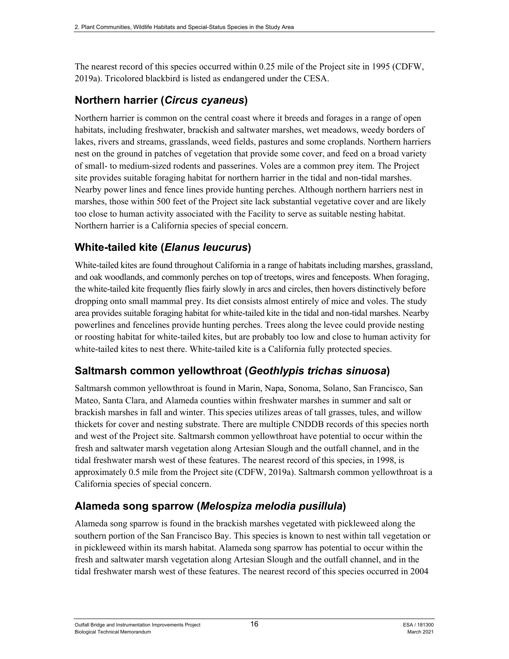The nearest record of this species occurred within 0.25 mile of the Project site in 1995 (CDFW, 2019a). Tricolored blackbird is listed as endangered under the CESA.

### **Northern harrier (***Circus cyaneus***)**

Northern harrier is common on the central coast where it breeds and forages in a range of open habitats, including freshwater, brackish and saltwater marshes, wet meadows, weedy borders of lakes, rivers and streams, grasslands, weed fields, pastures and some croplands. Northern harriers nest on the ground in patches of vegetation that provide some cover, and feed on a broad variety of small- to medium-sized rodents and passerines. Voles are a common prey item. The Project site provides suitable foraging habitat for northern harrier in the tidal and non-tidal marshes. Nearby power lines and fence lines provide hunting perches. Although northern harriers nest in marshes, those within 500 feet of the Project site lack substantial vegetative cover and are likely too close to human activity associated with the Facility to serve as suitable nesting habitat. Northern harrier is a California species of special concern.

### **White-tailed kite (***Elanus leucurus***)**

White-tailed kites are found throughout California in a range of habitats including marshes, grassland, and oak woodlands, and commonly perches on top of treetops, wires and fenceposts. When foraging, the white-tailed kite frequently flies fairly slowly in arcs and circles, then hovers distinctively before dropping onto small mammal prey. Its diet consists almost entirely of mice and voles. The study area provides suitable foraging habitat for white-tailed kite in the tidal and non-tidal marshes. Nearby powerlines and fencelines provide hunting perches. Trees along the levee could provide nesting or roosting habitat for white-tailed kites, but are probably too low and close to human activity for white-tailed kites to nest there. White-tailed kite is a California fully protected species.

#### **Saltmarsh common yellowthroat (***Geothlypis trichas sinuosa***)**

Saltmarsh common yellowthroat is found in Marin, Napa, Sonoma, Solano, San Francisco, San Mateo, Santa Clara, and Alameda counties within freshwater marshes in summer and salt or brackish marshes in fall and winter. This species utilizes areas of tall grasses, tules, and willow thickets for cover and nesting substrate. There are multiple CNDDB records of this species north and west of the Project site. Saltmarsh common yellowthroat have potential to occur within the fresh and saltwater marsh vegetation along Artesian Slough and the outfall channel, and in the tidal freshwater marsh west of these features. The nearest record of this species, in 1998, is approximately 0.5 mile from the Project site (CDFW, 2019a). Saltmarsh common yellowthroat is a California species of special concern.

### **Alameda song sparrow (***Melospiza melodia pusillula***)**

Alameda song sparrow is found in the brackish marshes vegetated with pickleweed along the southern portion of the San Francisco Bay. This species is known to nest within tall vegetation or in pickleweed within its marsh habitat. Alameda song sparrow has potential to occur within the fresh and saltwater marsh vegetation along Artesian Slough and the outfall channel, and in the tidal freshwater marsh west of these features. The nearest record of this species occurred in 2004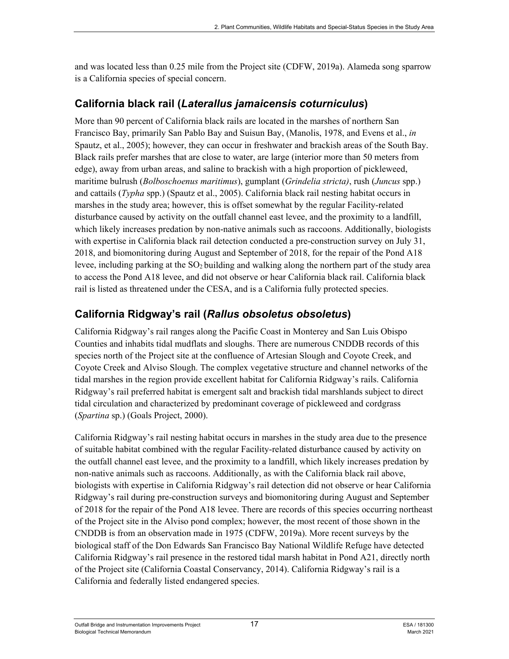and was located less than 0.25 mile from the Project site (CDFW, 2019a). Alameda song sparrow is a California species of special concern.

### **California black rail (***Laterallus jamaicensis coturniculus***)**

More than 90 percent of California black rails are located in the marshes of northern San Francisco Bay, primarily San Pablo Bay and Suisun Bay, (Manolis, 1978, and Evens et al., *in*  Spautz, et al., 2005); however, they can occur in freshwater and brackish areas of the South Bay. Black rails prefer marshes that are close to water, are large (interior more than 50 meters from edge), away from urban areas, and saline to brackish with a high proportion of pickleweed, maritime bulrush (*Bolboschoenus maritimus*), gumplant (*Grindelia stricta)*, rush (*Juncus* spp.) and cattails (*Typha* spp.) (Spautz et al., 2005). California black rail nesting habitat occurs in marshes in the study area; however, this is offset somewhat by the regular Facility-related disturbance caused by activity on the outfall channel east levee, and the proximity to a landfill, which likely increases predation by non-native animals such as raccoons. Additionally, biologists with expertise in California black rail detection conducted a pre-construction survey on July 31, 2018, and biomonitoring during August and September of 2018, for the repair of the Pond A18 levee, including parking at the SO2 building and walking along the northern part of the study area to access the Pond A18 levee, and did not observe or hear California black rail. California black rail is listed as threatened under the CESA, and is a California fully protected species.

### **California Ridgway's rail (***Rallus obsoletus obsoletus***)**

California Ridgway's rail ranges along the Pacific Coast in Monterey and San Luis Obispo Counties and inhabits tidal mudflats and sloughs. There are numerous CNDDB records of this species north of the Project site at the confluence of Artesian Slough and Coyote Creek, and Coyote Creek and Alviso Slough. The complex vegetative structure and channel networks of the tidal marshes in the region provide excellent habitat for California Ridgway's rails. California Ridgway's rail preferred habitat is emergent salt and brackish tidal marshlands subject to direct tidal circulation and characterized by predominant coverage of pickleweed and cordgrass (*Spartina* sp.) (Goals Project, 2000).

California Ridgway's rail nesting habitat occurs in marshes in the study area due to the presence of suitable habitat combined with the regular Facility-related disturbance caused by activity on the outfall channel east levee, and the proximity to a landfill, which likely increases predation by non-native animals such as raccoons. Additionally, as with the California black rail above, biologists with expertise in California Ridgway's rail detection did not observe or hear California Ridgway's rail during pre-construction surveys and biomonitoring during August and September of 2018 for the repair of the Pond A18 levee. There are records of this species occurring northeast of the Project site in the Alviso pond complex; however, the most recent of those shown in the CNDDB is from an observation made in 1975 (CDFW, 2019a). More recent surveys by the biological staff of the Don Edwards San Francisco Bay National Wildlife Refuge have detected California Ridgway's rail presence in the restored tidal marsh habitat in Pond A21, directly north of the Project site (California Coastal Conservancy, 2014). California Ridgway's rail is a California and federally listed endangered species.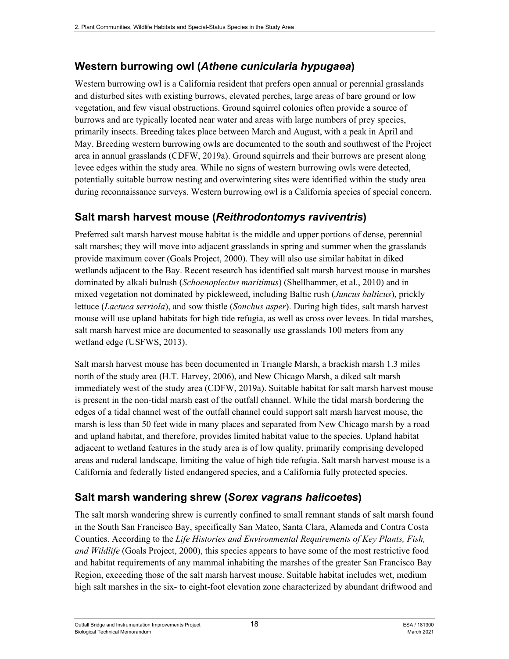### **Western burrowing owl (***Athene cunicularia hypugaea***)**

Western burrowing owl is a California resident that prefers open annual or perennial grasslands and disturbed sites with existing burrows, elevated perches, large areas of bare ground or low vegetation, and few visual obstructions. Ground squirrel colonies often provide a source of burrows and are typically located near water and areas with large numbers of prey species, primarily insects. Breeding takes place between March and August, with a peak in April and May. Breeding western burrowing owls are documented to the south and southwest of the Project area in annual grasslands (CDFW, 2019a). Ground squirrels and their burrows are present along levee edges within the study area. While no signs of western burrowing owls were detected, potentially suitable burrow nesting and overwintering sites were identified within the study area during reconnaissance surveys. Western burrowing owl is a California species of special concern.

#### **Salt marsh harvest mouse (***Reithrodontomys raviventris***)**

Preferred salt marsh harvest mouse habitat is the middle and upper portions of dense, perennial salt marshes; they will move into adjacent grasslands in spring and summer when the grasslands provide maximum cover (Goals Project, 2000). They will also use similar habitat in diked wetlands adjacent to the Bay. Recent research has identified salt marsh harvest mouse in marshes dominated by alkali bulrush (*Schoenoplectus maritimus*) (Shellhammer, et al., 2010) and in mixed vegetation not dominated by pickleweed, including Baltic rush (*Juncus balticus*), prickly lettuce (*Lactuca serriola*), and sow thistle (*Sonchus asper*). During high tides, salt marsh harvest mouse will use upland habitats for high tide refugia, as well as cross over levees. In tidal marshes, salt marsh harvest mice are documented to seasonally use grasslands 100 meters from any wetland edge (USFWS, 2013).

Salt marsh harvest mouse has been documented in Triangle Marsh, a brackish marsh 1.3 miles north of the study area (H.T. Harvey, 2006), and New Chicago Marsh, a diked salt marsh immediately west of the study area (CDFW, 2019a). Suitable habitat for salt marsh harvest mouse is present in the non-tidal marsh east of the outfall channel. While the tidal marsh bordering the edges of a tidal channel west of the outfall channel could support salt marsh harvest mouse, the marsh is less than 50 feet wide in many places and separated from New Chicago marsh by a road and upland habitat, and therefore, provides limited habitat value to the species. Upland habitat adjacent to wetland features in the study area is of low quality, primarily comprising developed areas and ruderal landscape, limiting the value of high tide refugia. Salt marsh harvest mouse is a California and federally listed endangered species, and a California fully protected species.

### **Salt marsh wandering shrew (***Sorex vagrans halicoetes***)**

The salt marsh wandering shrew is currently confined to small remnant stands of salt marsh found in the South San Francisco Bay, specifically San Mateo, Santa Clara, Alameda and Contra Costa Counties. According to the *Life Histories and Environmental Requirements of Key Plants, Fish, and Wildlife* (Goals Project, 2000), this species appears to have some of the most restrictive food and habitat requirements of any mammal inhabiting the marshes of the greater San Francisco Bay Region, exceeding those of the salt marsh harvest mouse. Suitable habitat includes wet, medium high salt marshes in the six- to eight-foot elevation zone characterized by abundant driftwood and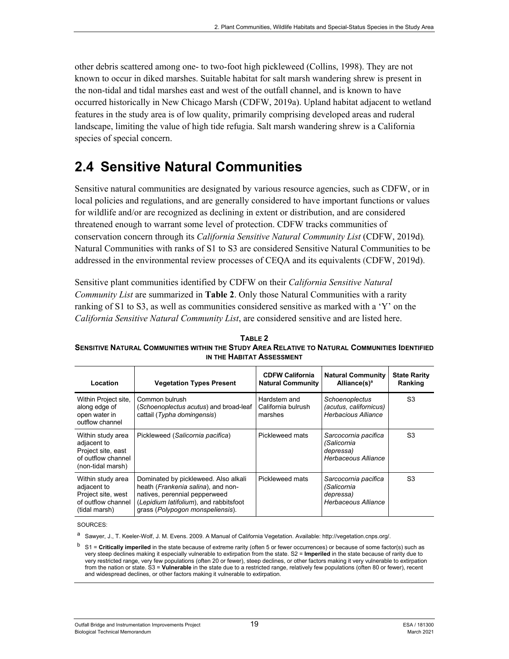other debris scattered among one- to two-foot high pickleweed (Collins, 1998). They are not known to occur in diked marshes. Suitable habitat for salt marsh wandering shrew is present in the non-tidal and tidal marshes east and west of the outfall channel, and is known to have occurred historically in New Chicago Marsh (CDFW, 2019a). Upland habitat adjacent to wetland features in the study area is of low quality, primarily comprising developed areas and ruderal landscape, limiting the value of high tide refugia. Salt marsh wandering shrew is a California species of special concern.

# <span id="page-24-0"></span>**2.4 Sensitive Natural Communities**

Sensitive natural communities are designated by various resource agencies, such as CDFW, or in local policies and regulations, and are generally considered to have important functions or values for wildlife and/or are recognized as declining in extent or distribution, and are considered threatened enough to warrant some level of protection. CDFW tracks communities of conservation concern through its *California Sensitive Natural Community List* (CDFW, 2019d)*.* Natural Communities with ranks of S1 to S3 are considered Sensitive Natural Communities to be addressed in the environmental review processes of CEQA and its equivalents (CDFW, 2019d).

Sensitive plant communities identified by CDFW on their *California Sensitive Natural Community List* are summarized in **Table 2**. Only those Natural Communities with a rarity ranking of S1 to S3, as well as communities considered sensitive as marked with a 'Y' on the *California Sensitive Natural Community List*, are considered sensitive and are listed here.

| Location                                                                                          | <b>Vegetation Types Present</b>                                                                                                                                                                    | <b>CDFW California</b><br><b>Natural Community</b> | <b>Natural Community</b><br>Alliance(s) <sup>a</sup>                    | <b>State Rarity</b><br>Ranking |
|---------------------------------------------------------------------------------------------------|----------------------------------------------------------------------------------------------------------------------------------------------------------------------------------------------------|----------------------------------------------------|-------------------------------------------------------------------------|--------------------------------|
| Within Project site,<br>along edge of<br>open water in<br>outflow channel                         | Common bulrush<br>(Schoenoplectus acutus) and broad-leaf<br>cattail (Typha domingensis)                                                                                                            | Hardstem and<br>California bulrush<br>marshes      | Schoenoplectus<br>(acutus, californicus)<br><b>Herbacious Alliance</b>  | S3                             |
| Within study area<br>adjacent to<br>Project site, east<br>of outflow channel<br>(non-tidal marsh) | Pickleweed (Salicornia pacifica)                                                                                                                                                                   | Pickleweed mats                                    | Sarcocornia pacifica<br>(Salicornia<br>depressa)<br>Herbaceous Alliance | S3                             |
| Within study area<br>adjacent to<br>Project site, west<br>of outflow channel<br>(tidal marsh)     | Dominated by pickleweed. Also alkali<br>heath ( <i>Frankenia salina</i> ), and non-<br>natives, perennial pepperweed<br>(Lepidium latifolium), and rabbitsfoot<br>grass (Polypogon monspeliensis). | Pickleweed mats                                    | Sarcocornia pacifica<br>(Salicornia<br>depressa)<br>Herbaceous Alliance | S3                             |

**TABLE 2 SENSITIVE NATURAL COMMUNITIES WITHIN THE STUDY AREA RELATIVE TO NATURAL COMMUNITIES IDENTIFIED IN THE HABITAT ASSESSMENT**

SOURCES:

<sup>a</sup> Sawyer, J., T. Keeler-Wolf, J. M. Evens. 2009. A Manual of California Vegetation. Available: http://vegetation.cnps.org/.

<sup>b</sup> S1 = **Critically imperiled** in the state because of extreme rarity (often 5 or fewer occurrences) or because of some factor(s) such as very steep declines making it especially vulnerable to extirpation from the state. S2 = **Imperiled** in the state because of rarity due to very restricted range, very few populations (often 20 or fewer), steep declines, or other factors making it very vulnerable to extirpation from the nation or state. S3 = **Vulnerable** in the state due to a restricted range, relatively few populations (often 80 or fewer), recent and widespread declines, or other factors making it vulnerable to extirpation.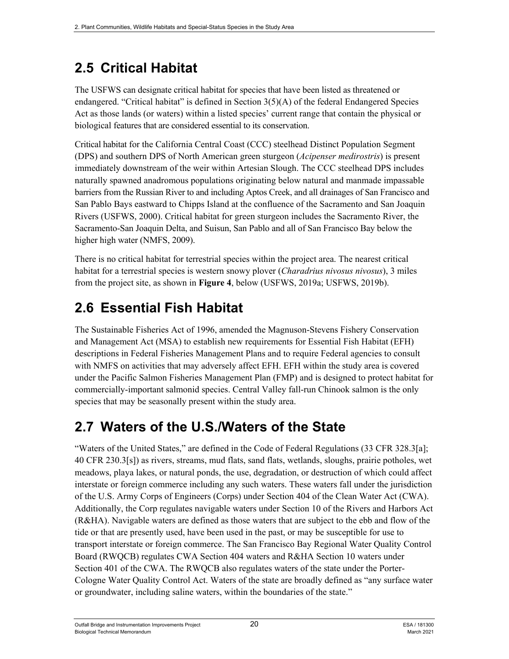# <span id="page-25-0"></span>**2.5 Critical Habitat**

The USFWS can designate critical habitat for species that have been listed as threatened or endangered. "Critical habitat" is defined in Section  $3(5)(A)$  of the federal Endangered Species Act as those lands (or waters) within a listed species' current range that contain the physical or biological features that are considered essential to its conservation.

Critical habitat for the California Central Coast (CCC) steelhead Distinct Population Segment (DPS) and southern DPS of North American green sturgeon (*Acipenser medirostris*) is present immediately downstream of the weir within Artesian Slough. The CCC steelhead DPS includes naturally spawned anadromous populations originating below natural and manmade impassable barriers from the Russian River to and including Aptos Creek, and all drainages of San Francisco and San Pablo Bays eastward to Chipps Island at the confluence of the Sacramento and San Joaquin Rivers (USFWS, 2000). Critical habitat for green sturgeon includes the Sacramento River, the Sacramento-San Joaquin Delta, and Suisun, San Pablo and all of San Francisco Bay below the higher high water (NMFS, 2009).

There is no critical habitat for terrestrial species within the project area. The nearest critical habitat for a terrestrial species is western snowy plover (*Charadrius nivosus nivosus*), 3 miles from the project site, as shown in **Figure 4**, below (USFWS, 2019a; USFWS, 2019b).

# <span id="page-25-1"></span>**2.6 Essential Fish Habitat**

The Sustainable Fisheries Act of 1996, amended the Magnuson-Stevens Fishery Conservation and Management Act (MSA) to establish new requirements for Essential Fish Habitat (EFH) descriptions in Federal Fisheries Management Plans and to require Federal agencies to consult with NMFS on activities that may adversely affect EFH. EFH within the study area is covered under the Pacific Salmon Fisheries Management Plan (FMP) and is designed to protect habitat for commercially-important salmonid species. Central Valley fall-run Chinook salmon is the only species that may be seasonally present within the study area.

# <span id="page-25-2"></span>**2.7 Waters of the U.S./Waters of the State**

"Waters of the United States," are defined in the Code of Federal Regulations (33 CFR 328.3[a]; 40 CFR 230.3[s]) as rivers, streams, mud flats, sand flats, wetlands, sloughs, prairie potholes, wet meadows, playa lakes, or natural ponds, the use, degradation, or destruction of which could affect interstate or foreign commerce including any such waters. These waters fall under the jurisdiction of the U.S. Army Corps of Engineers (Corps) under Section 404 of the Clean Water Act (CWA). Additionally, the Corp regulates navigable waters under Section 10 of the Rivers and Harbors Act (R&HA). Navigable waters are defined as those waters that are subject to the ebb and flow of the tide or that are presently used, have been used in the past, or may be susceptible for use to transport interstate or foreign commerce. The San Francisco Bay Regional Water Quality Control Board (RWQCB) regulates CWA Section 404 waters and R&HA Section 10 waters under Section 401 of the CWA. The RWQCB also regulates waters of the state under the Porter-Cologne Water Quality Control Act. Waters of the state are broadly defined as "any surface water or groundwater, including saline waters, within the boundaries of the state."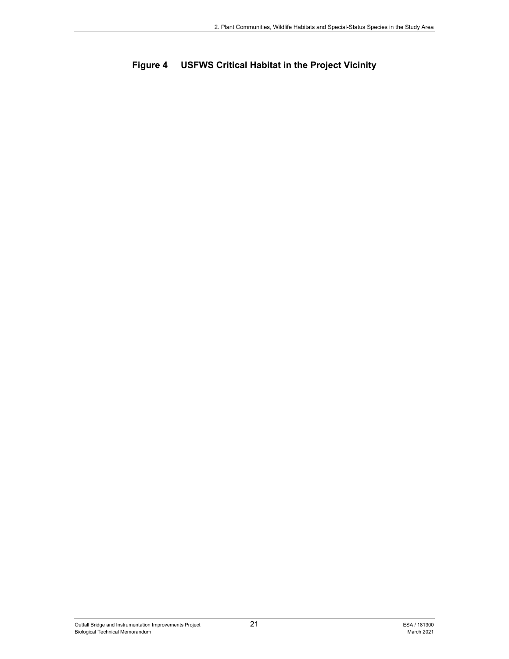#### <span id="page-26-0"></span>**Figure 4 USFWS Critical Habitat in the Project Vicinity**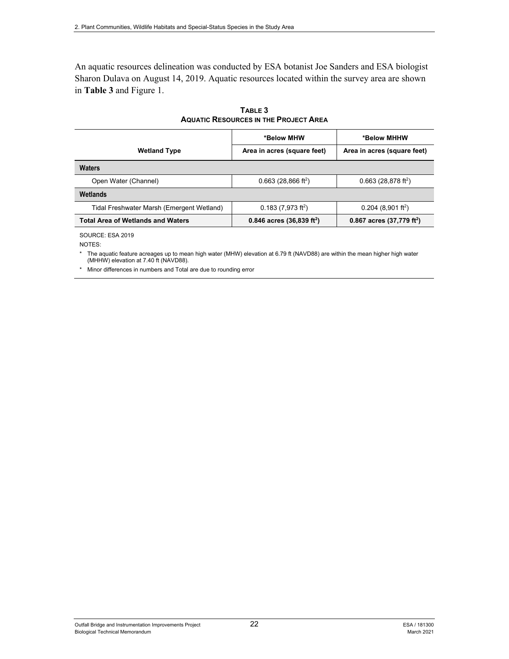An aquatic resources delineation was conducted by ESA botanist Joe Sanders and ESA biologist Sharon Dulava on August 14, 2019. Aquatic resources located within the survey area are shown in **Table 3** and Figure 1.

|                                           | *Below MHW                        | *Below MHHW                         |  |
|-------------------------------------------|-----------------------------------|-------------------------------------|--|
| <b>Wetland Type</b>                       | Area in acres (square feet)       | Area in acres (square feet)         |  |
| <b>Waters</b>                             |                                   |                                     |  |
| Open Water (Channel)                      | $0.663$ (28,866 ft <sup>2</sup> ) | 0.663(28,878 ft <sup>2</sup> )      |  |
| Wetlands                                  |                                   |                                     |  |
| Tidal Freshwater Marsh (Emergent Wetland) | 0.183(7,973 ft <sup>2</sup> )     | $0.204$ (8,901 ft <sup>2</sup> )    |  |
| <b>Total Area of Wetlands and Waters</b>  | 0.846 acres $(36,839 ft2)$        | 0.867 acres $(37,779 \text{ ft}^2)$ |  |

**TABLE 3 AQUATIC RESOURCES IN THE PROJECT AREA**

SOURCE: ESA 2019

NOTES:

The aquatic feature acreages up to mean high water (MHW) elevation at 6.79 ft (NAVD88) are within the mean higher high water (MHHW) elevation at 7.40 ft (NAVD88).

\* Minor differences in numbers and Total are due to rounding error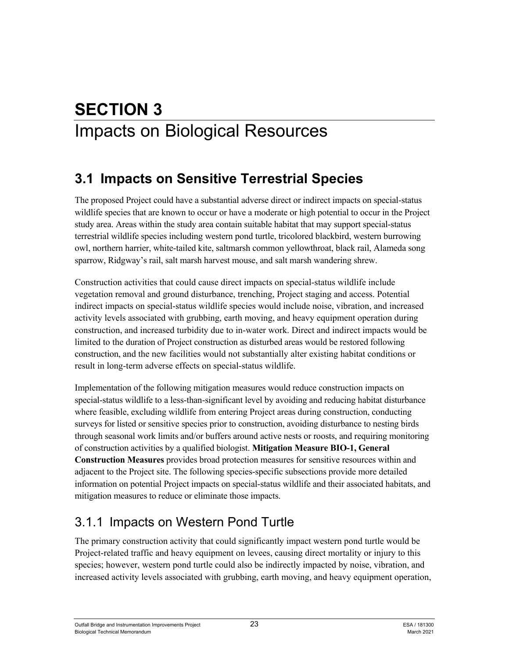# <span id="page-28-1"></span><span id="page-28-0"></span>**SECTION 3** Impacts on Biological Resources

### <span id="page-28-2"></span>**3.1 Impacts on Sensitive Terrestrial Species**

The proposed Project could have a substantial adverse direct or indirect impacts on special-status wildlife species that are known to occur or have a moderate or high potential to occur in the Project study area. Areas within the study area contain suitable habitat that may support special-status terrestrial wildlife species including western pond turtle, tricolored blackbird, western burrowing owl, northern harrier, white-tailed kite, saltmarsh common yellowthroat, black rail, Alameda song sparrow, Ridgway's rail, salt marsh harvest mouse, and salt marsh wandering shrew.

Construction activities that could cause direct impacts on special-status wildlife include vegetation removal and ground disturbance, trenching, Project staging and access. Potential indirect impacts on special-status wildlife species would include noise, vibration, and increased activity levels associated with grubbing, earth moving, and heavy equipment operation during construction, and increased turbidity due to in-water work. Direct and indirect impacts would be limited to the duration of Project construction as disturbed areas would be restored following construction, and the new facilities would not substantially alter existing habitat conditions or result in long-term adverse effects on special-status wildlife.

Implementation of the following mitigation measures would reduce construction impacts on special-status wildlife to a less-than-significant level by avoiding and reducing habitat disturbance where feasible, excluding wildlife from entering Project areas during construction, conducting surveys for listed or sensitive species prior to construction, avoiding disturbance to nesting birds through seasonal work limits and/or buffers around active nests or roosts, and requiring monitoring of construction activities by a qualified biologist. **Mitigation Measure BIO-1, General Construction Measures** provides broad protection measures for sensitive resources within and adjacent to the Project site. The following species-specific subsections provide more detailed information on potential Project impacts on special‐status wildlife and their associated habitats, and mitigation measures to reduce or eliminate those impacts.

### 3.1.1 Impacts on Western Pond Turtle

The primary construction activity that could significantly impact western pond turtle would be Project-related traffic and heavy equipment on levees, causing direct mortality or injury to this species; however, western pond turtle could also be indirectly impacted by noise, vibration, and increased activity levels associated with grubbing, earth moving, and heavy equipment operation,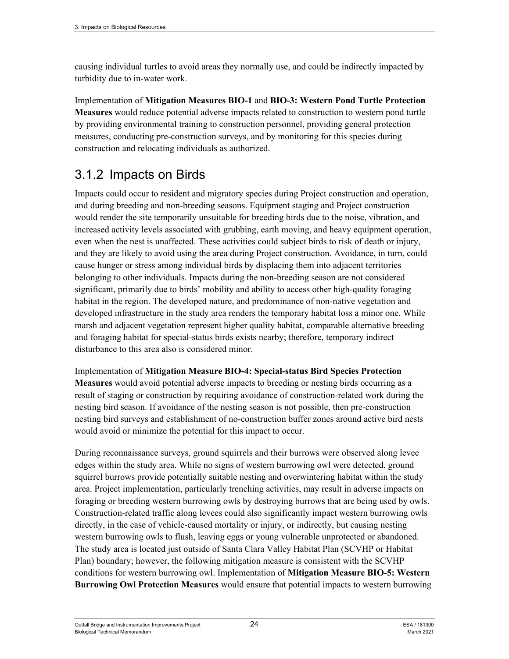causing individual turtles to avoid areas they normally use, and could be indirectly impacted by turbidity due to in-water work.

Implementation of **Mitigation Measures BIO-1** and **BIO-3: Western Pond Turtle Protection Measures** would reduce potential adverse impacts related to construction to western pond turtle by providing environmental training to construction personnel, providing general protection measures, conducting pre-construction surveys, and by monitoring for this species during construction and relocating individuals as authorized.

### 3.1.2 Impacts on Birds

Impacts could occur to resident and migratory species during Project construction and operation, and during breeding and non-breeding seasons. Equipment staging and Project construction would render the site temporarily unsuitable for breeding birds due to the noise, vibration, and increased activity levels associated with grubbing, earth moving, and heavy equipment operation, even when the nest is unaffected. These activities could subject birds to risk of death or injury, and they are likely to avoid using the area during Project construction. Avoidance, in turn, could cause hunger or stress among individual birds by displacing them into adjacent territories belonging to other individuals. Impacts during the non-breeding season are not considered significant, primarily due to birds' mobility and ability to access other high-quality foraging habitat in the region. The developed nature, and predominance of non-native vegetation and developed infrastructure in the study area renders the temporary habitat loss a minor one. While marsh and adjacent vegetation represent higher quality habitat, comparable alternative breeding and foraging habitat for special-status birds exists nearby; therefore, temporary indirect disturbance to this area also is considered minor.

Implementation of **Mitigation Measure BIO-4: Special-status Bird Species Protection Measures** would avoid potential adverse impacts to breeding or nesting birds occurring as a result of staging or construction by requiring avoidance of construction-related work during the nesting bird season. If avoidance of the nesting season is not possible, then pre-construction nesting bird surveys and establishment of no-construction buffer zones around active bird nests would avoid or minimize the potential for this impact to occur.

During reconnaissance surveys, ground squirrels and their burrows were observed along levee edges within the study area. While no signs of western burrowing owl were detected, ground squirrel burrows provide potentially suitable nesting and overwintering habitat within the study area. Project implementation, particularly trenching activities, may result in adverse impacts on foraging or breeding western burrowing owls by destroying burrows that are being used by owls. Construction-related traffic along levees could also significantly impact western burrowing owls directly, in the case of vehicle-caused mortality or injury, or indirectly, but causing nesting western burrowing owls to flush, leaving eggs or young vulnerable unprotected or abandoned. The study area is located just outside of Santa Clara Valley Habitat Plan (SCVHP or Habitat Plan) boundary; however, the following mitigation measure is consistent with the SCVHP conditions for western burrowing owl. Implementation of **Mitigation Measure BIO‐5: Western Burrowing Owl Protection Measures** would ensure that potential impacts to western burrowing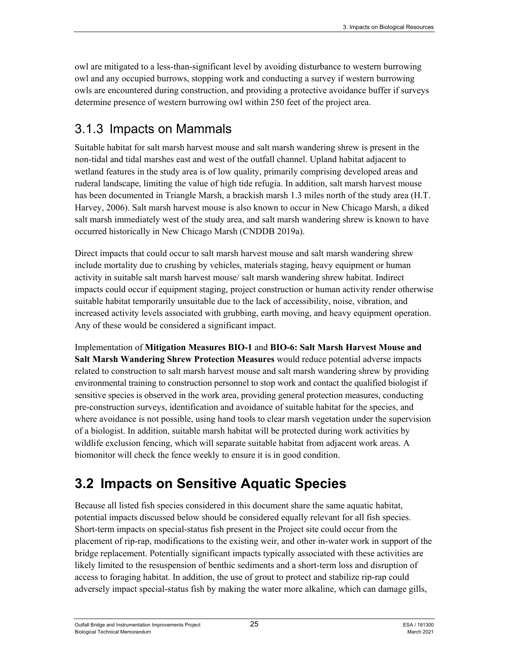owl are mitigated to a less-than-significant level by avoiding disturbance to western burrowing owl and any occupied burrows, stopping work and conducting a survey if western burrowing owls are encountered during construction, and providing a protective avoidance buffer if surveys determine presence of western burrowing owl within 250 feet of the project area.

### 3.1.3 Impacts on Mammals

Suitable habitat for salt marsh harvest mouse and salt marsh wandering shrew is present in the non-tidal and tidal marshes east and west of the outfall channel. Upland habitat adjacent to wetland features in the study area is of low quality, primarily comprising developed areas and ruderal landscape, limiting the value of high tide refugia. In addition, salt marsh harvest mouse has been documented in Triangle Marsh, a brackish marsh 1.3 miles north of the study area (H.T. Harvey, 2006). Salt marsh harvest mouse is also known to occur in New Chicago Marsh, a diked salt marsh immediately west of the study area, and salt marsh wandering shrew is known to have occurred historically in New Chicago Marsh (CNDDB 2019a).

Direct impacts that could occur to salt marsh harvest mouse and salt marsh wandering shrew include mortality due to crushing by vehicles, materials staging, heavy equipment or human activity in suitable salt marsh harvest mouse/ salt marsh wandering shrew habitat. Indirect impacts could occur if equipment staging, project construction or human activity render otherwise suitable habitat temporarily unsuitable due to the lack of accessibility, noise, vibration, and increased activity levels associated with grubbing, earth moving, and heavy equipment operation. Any of these would be considered a significant impact.

Implementation of **Mitigation Measures BIO-1** and **BIO-6: Salt Marsh Harvest Mouse and Salt Marsh Wandering Shrew Protection Measures** would reduce potential adverse impacts related to construction to salt marsh harvest mouse and salt marsh wandering shrew by providing environmental training to construction personnel to stop work and contact the qualified biologist if sensitive species is observed in the work area, providing general protection measures, conducting pre-construction surveys, identification and avoidance of suitable habitat for the species, and where avoidance is not possible, using hand tools to clear marsh vegetation under the supervision of a biologist. In addition, suitable marsh habitat will be protected during work activities by wildlife exclusion fencing, which will separate suitable habitat from adjacent work areas. A biomonitor will check the fence weekly to ensure it is in good condition.

### <span id="page-30-0"></span>**3.2 Impacts on Sensitive Aquatic Species**

Because all listed fish species considered in this document share the same aquatic habitat, potential impacts discussed below should be considered equally relevant for all fish species. Short-term impacts on special-status fish present in the Project site could occur from the placement of rip-rap, modifications to the existing weir, and other in-water work in support of the bridge replacement. Potentially significant impacts typically associated with these activities are likely limited to the resuspension of benthic sediments and a short-term loss and disruption of access to foraging habitat. In addition, the use of grout to protect and stabilize rip-rap could adversely impact special-status fish by making the water more alkaline, which can damage gills,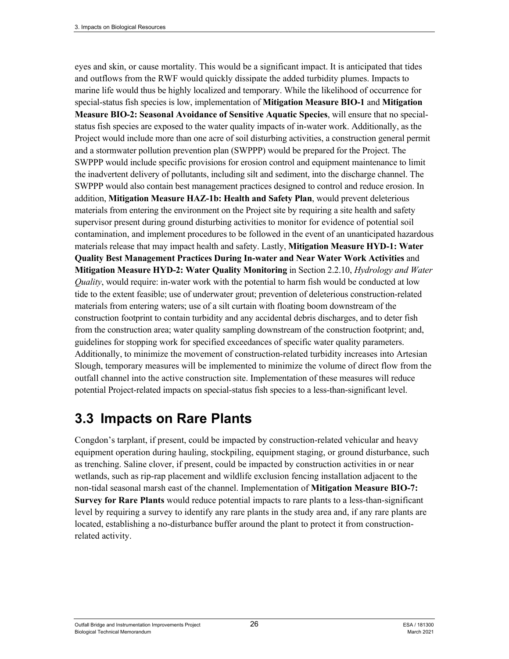eyes and skin, or cause mortality. This would be a significant impact. It is anticipated that tides and outflows from the RWF would quickly dissipate the added turbidity plumes. Impacts to marine life would thus be highly localized and temporary. While the likelihood of occurrence for special-status fish species is low, implementation of **Mitigation Measure BIO-1** and **Mitigation Measure BIO-2: Seasonal Avoidance of Sensitive Aquatic Species**, will ensure that no specialstatus fish species are exposed to the water quality impacts of in-water work. Additionally, as the Project would include more than one acre of soil disturbing activities, a construction general permit and a stormwater pollution prevention plan (SWPPP) would be prepared for the Project. The SWPPP would include specific provisions for erosion control and equipment maintenance to limit the inadvertent delivery of pollutants, including silt and sediment, into the discharge channel. The SWPPP would also contain best management practices designed to control and reduce erosion. In addition, **Mitigation Measure HAZ-1b: Health and Safety Plan**, would prevent deleterious materials from entering the environment on the Project site by requiring a site health and safety supervisor present during ground disturbing activities to monitor for evidence of potential soil contamination, and implement procedures to be followed in the event of an unanticipated hazardous materials release that may impact health and safety. Lastly, **Mitigation Measure HYD-1: Water Quality Best Management Practices During In-water and Near Water Work Activities** and **Mitigation Measure HYD-2: Water Quality Monitoring** in Section 2.2.10, *Hydrology and Water Quality*, would require: in-water work with the potential to harm fish would be conducted at low tide to the extent feasible; use of underwater grout; prevention of deleterious construction-related materials from entering waters; use of a silt curtain with floating boom downstream of the construction footprint to contain turbidity and any accidental debris discharges, and to deter fish from the construction area; water quality sampling downstream of the construction footprint; and, guidelines for stopping work for specified exceedances of specific water quality parameters. Additionally, to minimize the movement of construction-related turbidity increases into Artesian Slough, temporary measures will be implemented to minimize the volume of direct flow from the outfall channel into the active construction site. Implementation of these measures will reduce potential Project-related impacts on special-status fish species to a less-than-significant level.

### <span id="page-31-0"></span>**3.3 Impacts on Rare Plants**

Congdon's tarplant, if present, could be impacted by construction-related vehicular and heavy equipment operation during hauling, stockpiling, equipment staging, or ground disturbance, such as trenching. Saline clover, if present, could be impacted by construction activities in or near wetlands, such as rip-rap placement and wildlife exclusion fencing installation adjacent to the non-tidal seasonal marsh east of the channel. Implementation of **Mitigation Measure BIO-7: Survey for Rare Plants** would reduce potential impacts to rare plants to a less-than-significant level by requiring a survey to identify any rare plants in the study area and, if any rare plants are located, establishing a no-disturbance buffer around the plant to protect it from constructionrelated activity.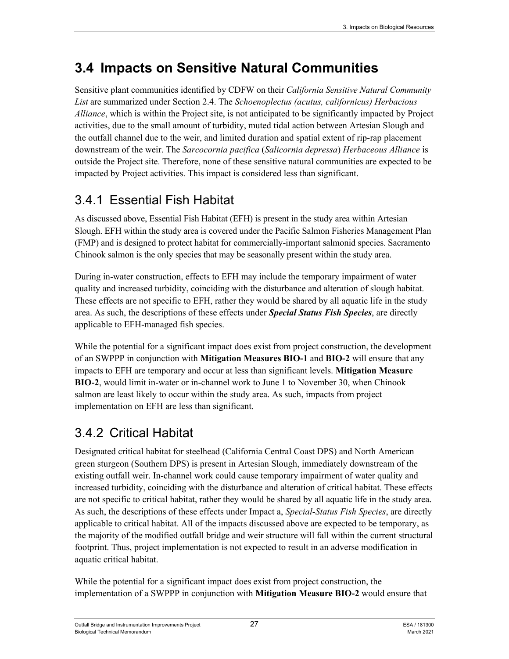## <span id="page-32-0"></span>**3.4 Impacts on Sensitive Natural Communities**

Sensitive plant communities identified by CDFW on their *California Sensitive Natural Community List* are summarized under Section 2.4. The *Schoenoplectus (acutus, californicus) Herbacious Alliance*, which is within the Project site, is not anticipated to be significantly impacted by Project activities, due to the small amount of turbidity, muted tidal action between Artesian Slough and the outfall channel due to the weir, and limited duration and spatial extent of rip-rap placement downstream of the weir. The *Sarcocornia pacifica* (*Salicornia depressa*) *Herbaceous Alliance* is outside the Project site. Therefore, none of these sensitive natural communities are expected to be impacted by Project activities. This impact is considered less than significant.

### 3.4.1 Essential Fish Habitat

As discussed above, Essential Fish Habitat (EFH) is present in the study area within Artesian Slough. EFH within the study area is covered under the Pacific Salmon Fisheries Management Plan (FMP) and is designed to protect habitat for commercially-important salmonid species. Sacramento Chinook salmon is the only species that may be seasonally present within the study area.

During in-water construction, effects to EFH may include the temporary impairment of water quality and increased turbidity, coinciding with the disturbance and alteration of slough habitat. These effects are not specific to EFH, rather they would be shared by all aquatic life in the study area. As such, the descriptions of these effects under *Special Status Fish Species*, are directly applicable to EFH-managed fish species.

While the potential for a significant impact does exist from project construction, the development of an SWPPP in conjunction with **Mitigation Measures BIO-1** and **BIO-2** will ensure that any impacts to EFH are temporary and occur at less than significant levels. **Mitigation Measure BIO-2**, would limit in-water or in-channel work to June 1 to November 30, when Chinook salmon are least likely to occur within the study area. As such, impacts from project implementation on EFH are less than significant.

### 3.4.2 Critical Habitat

Designated critical habitat for steelhead (California Central Coast DPS) and North American green sturgeon (Southern DPS) is present in Artesian Slough, immediately downstream of the existing outfall weir. In-channel work could cause temporary impairment of water quality and increased turbidity, coinciding with the disturbance and alteration of critical habitat. These effects are not specific to critical habitat, rather they would be shared by all aquatic life in the study area. As such, the descriptions of these effects under Impact a, *Special-Status Fish Species*, are directly applicable to critical habitat. All of the impacts discussed above are expected to be temporary, as the majority of the modified outfall bridge and weir structure will fall within the current structural footprint. Thus, project implementation is not expected to result in an adverse modification in aquatic critical habitat.

While the potential for a significant impact does exist from project construction, the implementation of a SWPPP in conjunction with **Mitigation Measure BIO-2** would ensure that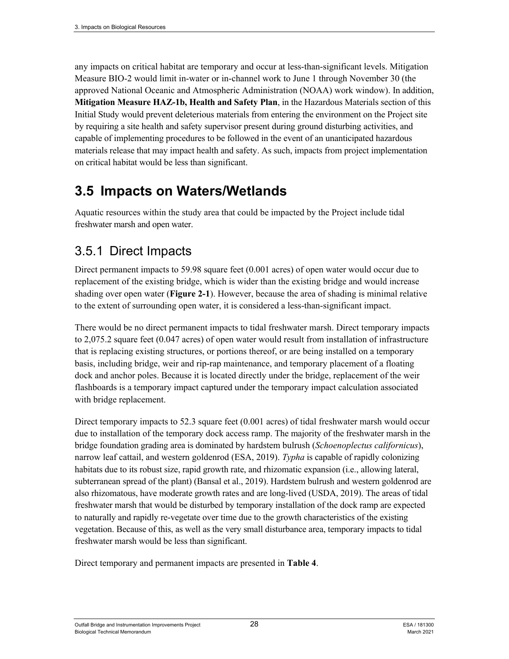any impacts on critical habitat are temporary and occur at less-than-significant levels. Mitigation Measure BIO-2 would limit in-water or in-channel work to June 1 through November 30 (the approved National Oceanic and Atmospheric Administration (NOAA) work window). In addition, **Mitigation Measure HAZ-1b, Health and Safety Plan**, in the Hazardous Materials section of this Initial Study would prevent deleterious materials from entering the environment on the Project site by requiring a site health and safety supervisor present during ground disturbing activities, and capable of implementing procedures to be followed in the event of an unanticipated hazardous materials release that may impact health and safety. As such, impacts from project implementation on critical habitat would be less than significant.

# <span id="page-33-0"></span>**3.5 Impacts on Waters/Wetlands**

Aquatic resources within the study area that could be impacted by the Project include tidal freshwater marsh and open water.

### 3.5.1 Direct Impacts

Direct permanent impacts to 59.98 square feet (0.001 acres) of open water would occur due to replacement of the existing bridge, which is wider than the existing bridge and would increase shading over open water (**Figure 2-1**). However, because the area of shading is minimal relative to the extent of surrounding open water, it is considered a less-than-significant impact.

There would be no direct permanent impacts to tidal freshwater marsh. Direct temporary impacts to 2,075.2 square feet (0.047 acres) of open water would result from installation of infrastructure that is replacing existing structures, or portions thereof, or are being installed on a temporary basis, including bridge, weir and rip-rap maintenance, and temporary placement of a floating dock and anchor poles. Because it is located directly under the bridge, replacement of the weir flashboards is a temporary impact captured under the temporary impact calculation associated with bridge replacement.

Direct temporary impacts to 52.3 square feet (0.001 acres) of tidal freshwater marsh would occur due to installation of the temporary dock access ramp. The majority of the freshwater marsh in the bridge foundation grading area is dominated by hardstem bulrush (*Schoenoplectus californicus*), narrow leaf cattail, and western goldenrod (ESA, 2019). *Typha* is capable of rapidly colonizing habitats due to its robust size, rapid growth rate, and rhizomatic expansion (i.e., allowing lateral, subterranean spread of the plant) (Bansal et al., 2019). Hardstem bulrush and western goldenrod are also rhizomatous, have moderate growth rates and are long-lived (USDA, 2019). The areas of tidal freshwater marsh that would be disturbed by temporary installation of the dock ramp are expected to naturally and rapidly re-vegetate over time due to the growth characteristics of the existing vegetation. Because of this, as well as the very small disturbance area, temporary impacts to tidal freshwater marsh would be less than significant.

Direct temporary and permanent impacts are presented in **Table 4**.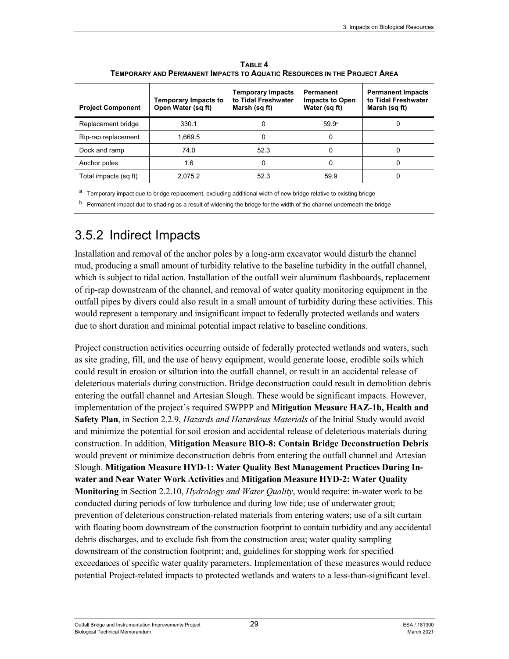| <b>Project Component</b> | <b>Temporary Impacts to</b><br>Open Water (sq ft) | <b>Temporary Impacts</b><br>to Tidal Freshwater<br>Marsh (sq ft) | Permanent<br><b>Impacts to Open</b><br>Water (sq ft) | <b>Permanent Impacts</b><br>to Tidal Freshwater<br>Marsh (sq ft) |
|--------------------------|---------------------------------------------------|------------------------------------------------------------------|------------------------------------------------------|------------------------------------------------------------------|
| Replacement bridge       | 330.1                                             |                                                                  | 59.9 <sup>a</sup>                                    |                                                                  |
| Rip-rap replacement      | 1,669.5                                           |                                                                  |                                                      |                                                                  |
| Dock and ramp            | 74.0                                              | 52.3                                                             |                                                      | 0                                                                |
| Anchor poles             | 1.6                                               |                                                                  |                                                      | 0                                                                |
| Total impacts (sq ft)    | 2.075.2                                           | 52.3                                                             | 59.9                                                 | 0                                                                |

**TABLE 4 TEMPORARY AND PERMANENT IMPACTS TO AQUATIC RESOURCES IN THE PROJECT AREA**

a Temporary impact due to bridge replacement, excluding additional width of new bridge relative to existing bridge

<sup>b</sup> Permanent impact due to shading as a result of widening the bridge for the width of the channel underneath the bridge

### 3.5.2 Indirect Impacts

Installation and removal of the anchor poles by a long-arm excavator would disturb the channel mud, producing a small amount of turbidity relative to the baseline turbidity in the outfall channel, which is subject to tidal action. Installation of the outfall weir aluminum flashboards, replacement of rip-rap downstream of the channel, and removal of water quality monitoring equipment in the outfall pipes by divers could also result in a small amount of turbidity during these activities. This would represent a temporary and insignificant impact to federally protected wetlands and waters due to short duration and minimal potential impact relative to baseline conditions.

Project construction activities occurring outside of federally protected wetlands and waters, such as site grading, fill, and the use of heavy equipment, would generate loose, erodible soils which could result in erosion or siltation into the outfall channel, or result in an accidental release of deleterious materials during construction. Bridge deconstruction could result in demolition debris entering the outfall channel and Artesian Slough. These would be significant impacts. However, implementation of the project's required SWPPP and **Mitigation Measure HAZ-1b, Health and Safety Plan**, in Section 2.2.9, *Hazards and Hazardous Materials* of the Initial Study would avoid and minimize the potential for soil erosion and accidental release of deleterious materials during construction. In addition, **Mitigation Measure BIO-8: Contain Bridge Deconstruction Debris** would prevent or minimize deconstruction debris from entering the outfall channel and Artesian Slough. **Mitigation Measure HYD-1: Water Quality Best Management Practices During Inwater and Near Water Work Activities** and **Mitigation Measure HYD-2: Water Quality Monitoring** in Section 2.2.10, *Hydrology and Water Quality*, would require: in-water work to be conducted during periods of low turbulence and during low tide; use of underwater grout; prevention of deleterious construction-related materials from entering waters; use of a silt curtain with floating boom downstream of the construction footprint to contain turbidity and any accidental debris discharges, and to exclude fish from the construction area; water quality sampling downstream of the construction footprint; and, guidelines for stopping work for specified exceedances of specific water quality parameters. Implementation of these measures would reduce potential Project-related impacts to protected wetlands and waters to a less-than-significant level.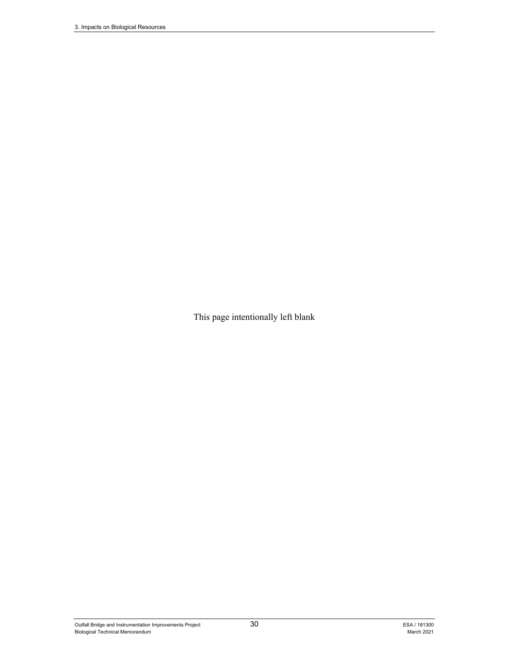This page intentionally left blank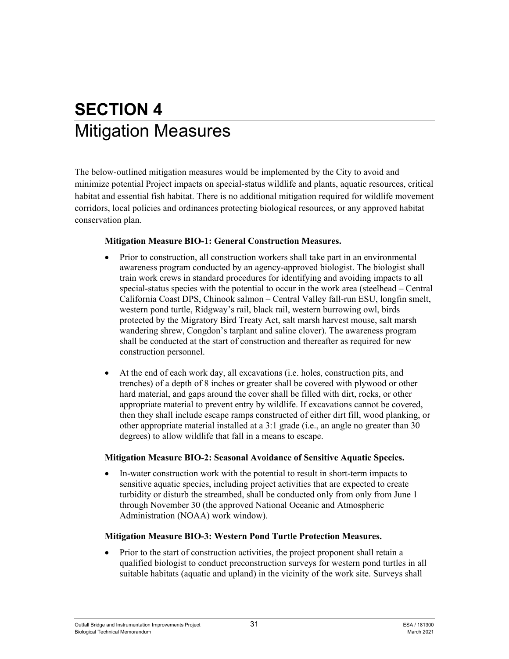# <span id="page-36-1"></span><span id="page-36-0"></span>**SECTION 4** Mitigation Measures

The below-outlined mitigation measures would be implemented by the City to avoid and minimize potential Project impacts on special-status wildlife and plants, aquatic resources, critical habitat and essential fish habitat. There is no additional mitigation required for wildlife movement corridors, local policies and ordinances protecting biological resources, or any approved habitat conservation plan.

#### **Mitigation Measure BIO-1: General Construction Measures.**

- Prior to construction, all construction workers shall take part in an environmental awareness program conducted by an agency-approved biologist. The biologist shall train work crews in standard procedures for identifying and avoiding impacts to all special-status species with the potential to occur in the work area (steelhead – Central California Coast DPS, Chinook salmon – Central Valley fall-run ESU, longfin smelt, western pond turtle, Ridgway's rail, black rail, western burrowing owl, birds protected by the Migratory Bird Treaty Act, salt marsh harvest mouse, salt marsh wandering shrew, Congdon's tarplant and saline clover). The awareness program shall be conducted at the start of construction and thereafter as required for new construction personnel.
- At the end of each work day, all excavations (i.e. holes, construction pits, and trenches) of a depth of 8 inches or greater shall be covered with plywood or other hard material, and gaps around the cover shall be filled with dirt, rocks, or other appropriate material to prevent entry by wildlife. If excavations cannot be covered, then they shall include escape ramps constructed of either dirt fill, wood planking, or other appropriate material installed at a 3:1 grade (i.e., an angle no greater than 30 degrees) to allow wildlife that fall in a means to escape.

#### **Mitigation Measure BIO-2: Seasonal Avoidance of Sensitive Aquatic Species.**

• In-water construction work with the potential to result in short-term impacts to sensitive aquatic species, including project activities that are expected to create turbidity or disturb the streambed, shall be conducted only from only from June 1 through November 30 (the approved National Oceanic and Atmospheric Administration (NOAA) work window).

#### **Mitigation Measure BIO-3: Western Pond Turtle Protection Measures.**

• Prior to the start of construction activities, the project proponent shall retain a qualified biologist to conduct preconstruction surveys for western pond turtles in all suitable habitats (aquatic and upland) in the vicinity of the work site. Surveys shall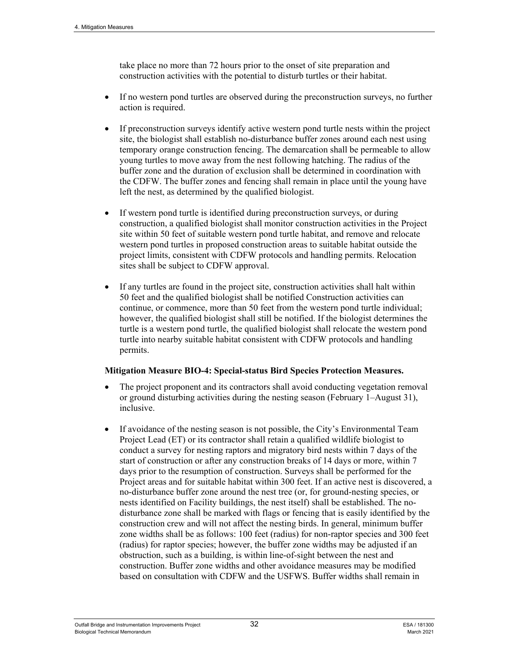take place no more than 72 hours prior to the onset of site preparation and construction activities with the potential to disturb turtles or their habitat.

- If no western pond turtles are observed during the preconstruction surveys, no further action is required.
- If preconstruction surveys identify active western pond turtle nests within the project site, the biologist shall establish no-disturbance buffer zones around each nest using temporary orange construction fencing. The demarcation shall be permeable to allow young turtles to move away from the nest following hatching. The radius of the buffer zone and the duration of exclusion shall be determined in coordination with the CDFW. The buffer zones and fencing shall remain in place until the young have left the nest, as determined by the qualified biologist.
- If western pond turtle is identified during preconstruction surveys, or during construction, a qualified biologist shall monitor construction activities in the Project site within 50 feet of suitable western pond turtle habitat, and remove and relocate western pond turtles in proposed construction areas to suitable habitat outside the project limits, consistent with CDFW protocols and handling permits. Relocation sites shall be subject to CDFW approval.
- If any turtles are found in the project site, construction activities shall halt within 50 feet and the qualified biologist shall be notified Construction activities can continue, or commence, more than 50 feet from the western pond turtle individual; however, the qualified biologist shall still be notified. If the biologist determines the turtle is a western pond turtle, the qualified biologist shall relocate the western pond turtle into nearby suitable habitat consistent with CDFW protocols and handling permits.

#### **Mitigation Measure BIO-4: Special-status Bird Species Protection Measures.**

- The project proponent and its contractors shall avoid conducting vegetation removal or ground disturbing activities during the nesting season (February 1–August 31), inclusive.
- If avoidance of the nesting season is not possible, the City's Environmental Team Project Lead (ET) or its contractor shall retain a qualified wildlife biologist to conduct a survey for nesting raptors and migratory bird nests within 7 days of the start of construction or after any construction breaks of 14 days or more, within 7 days prior to the resumption of construction. Surveys shall be performed for the Project areas and for suitable habitat within 300 feet. If an active nest is discovered, a no-disturbance buffer zone around the nest tree (or, for ground-nesting species, or nests identified on Facility buildings, the nest itself) shall be established. The nodisturbance zone shall be marked with flags or fencing that is easily identified by the construction crew and will not affect the nesting birds. In general, minimum buffer zone widths shall be as follows: 100 feet (radius) for non-raptor species and 300 feet (radius) for raptor species; however, the buffer zone widths may be adjusted if an obstruction, such as a building, is within line-of-sight between the nest and construction. Buffer zone widths and other avoidance measures may be modified based on consultation with CDFW and the USFWS. Buffer widths shall remain in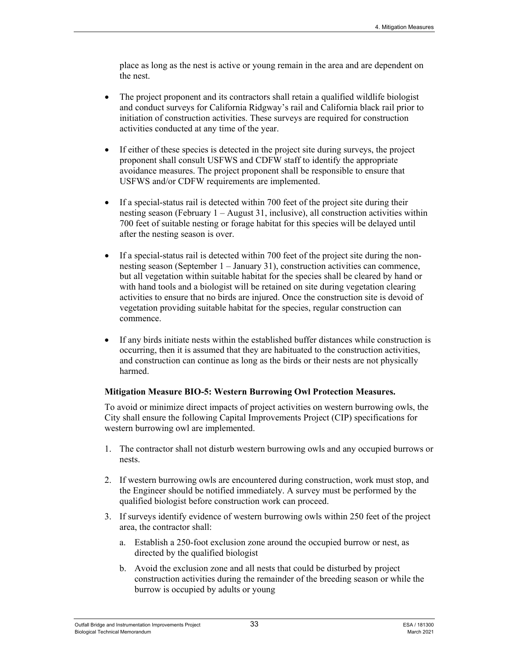place as long as the nest is active or young remain in the area and are dependent on the nest.

- The project proponent and its contractors shall retain a qualified wildlife biologist and conduct surveys for California Ridgway's rail and California black rail prior to initiation of construction activities. These surveys are required for construction activities conducted at any time of the year.
- If either of these species is detected in the project site during surveys, the project proponent shall consult USFWS and CDFW staff to identify the appropriate avoidance measures. The project proponent shall be responsible to ensure that USFWS and/or CDFW requirements are implemented.
- If a special-status rail is detected within 700 feet of the project site during their nesting season (February  $1 -$  August 31, inclusive), all construction activities within 700 feet of suitable nesting or forage habitat for this species will be delayed until after the nesting season is over.
- If a special-status rail is detected within 700 feet of the project site during the nonnesting season (September 1 – January 31), construction activities can commence, but all vegetation within suitable habitat for the species shall be cleared by hand or with hand tools and a biologist will be retained on site during vegetation clearing activities to ensure that no birds are injured. Once the construction site is devoid of vegetation providing suitable habitat for the species, regular construction can commence.
- If any birds initiate nests within the established buffer distances while construction is occurring, then it is assumed that they are habituated to the construction activities, and construction can continue as long as the birds or their nests are not physically harmed.

#### **Mitigation Measure BIO‐5: Western Burrowing Owl Protection Measures.**

To avoid or minimize direct impacts of project activities on western burrowing owls, the City shall ensure the following Capital Improvements Project (CIP) specifications for western burrowing owl are implemented.

- 1. The contractor shall not disturb western burrowing owls and any occupied burrows or nests.
- 2. If western burrowing owls are encountered during construction, work must stop, and the Engineer should be notified immediately. A survey must be performed by the qualified biologist before construction work can proceed.
- 3. If surveys identify evidence of western burrowing owls within 250 feet of the project area, the contractor shall:
	- a. Establish a 250-foot exclusion zone around the occupied burrow or nest, as directed by the qualified biologist
	- b. Avoid the exclusion zone and all nests that could be disturbed by project construction activities during the remainder of the breeding season or while the burrow is occupied by adults or young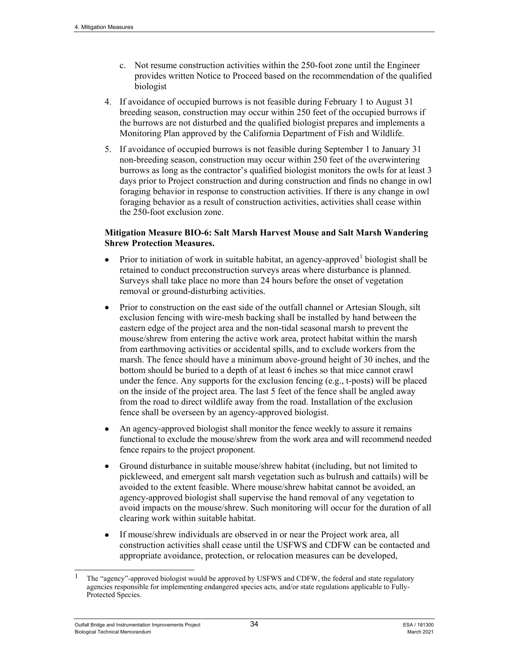- c. Not resume construction activities within the 250-foot zone until the Engineer provides written Notice to Proceed based on the recommendation of the qualified biologist
- 4. If avoidance of occupied burrows is not feasible during February 1 to August 31 breeding season, construction may occur within 250 feet of the occupied burrows if the burrows are not disturbed and the qualified biologist prepares and implements a Monitoring Plan approved by the California Department of Fish and Wildlife.
- 5. If avoidance of occupied burrows is not feasible during September 1 to January 31 non-breeding season, construction may occur within 250 feet of the overwintering burrows as long as the contractor's qualified biologist monitors the owls for at least 3 days prior to Project construction and during construction and finds no change in owl foraging behavior in response to construction activities. If there is any change in owl foraging behavior as a result of construction activities, activities shall cease within the 250-foot exclusion zone.

#### **Mitigation Measure BIO-6: Salt Marsh Harvest Mouse and Salt Marsh Wandering Shrew Protection Measures.**

- Prior to initiation of work in suitable habitat, an agency-approved biologist shall be retained to conduct preconstruction surveys areas where disturbance is planned. Surveys shall take place no more than 24 hours before the onset of vegetation removal or ground-disturbing activities.
- Prior to construction on the east side of the outfall channel or Artesian Slough, silt exclusion fencing with wire-mesh backing shall be installed by hand between the eastern edge of the project area and the non-tidal seasonal marsh to prevent the mouse/shrew from entering the active work area, protect habitat within the marsh from earthmoving activities or accidental spills, and to exclude workers from the marsh. The fence should have a minimum above-ground height of 30 inches, and the bottom should be buried to a depth of at least 6 inches so that mice cannot crawl under the fence. Any supports for the exclusion fencing (e.g., t-posts) will be placed on the inside of the project area. The last 5 feet of the fence shall be angled away from the road to direct wildlife away from the road. Installation of the exclusion fence shall be overseen by an agency-approved biologist.
- An agency-approved biologist shall monitor the fence weekly to assure it remains functional to exclude the mouse/shrew from the work area and will recommend needed fence repairs to the project proponent.
- Ground disturbance in suitable mouse/shrew habitat (including, but not limited to pickleweed, and emergent salt marsh vegetation such as bulrush and cattails) will be avoided to the extent feasible. Where mouse/shrew habitat cannot be avoided, an agency-approved biologist shall supervise the hand removal of any vegetation to avoid impacts on the mouse/shrew. Such monitoring will occur for the duration of all clearing work within suitable habitat.
- If mouse/shrew individuals are observed in or near the Project work area, all construction activities shall cease until the USFWS and CDFW can be contacted and appropriate avoidance, protection, or relocation measures can be developed,

<span id="page-39-0"></span> <sup>1</sup> The "agency"-approved biologist would be approved by USFWS and CDFW, the federal and state regulatory agencies responsible for implementing endangered species acts, and/or state regulations applicable to Fully-Protected Species.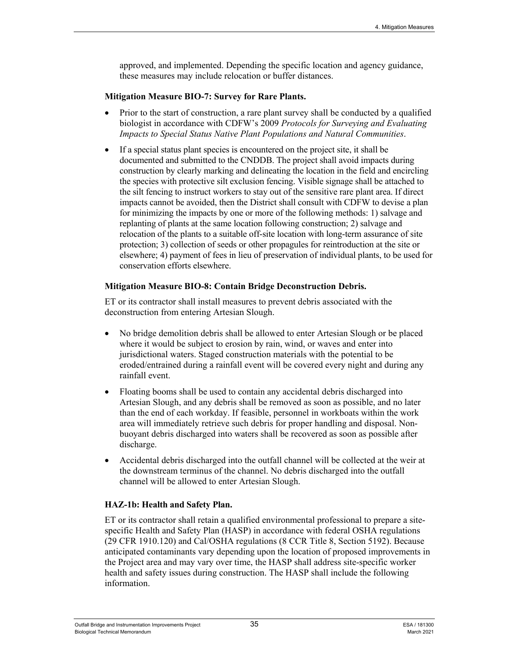approved, and implemented. Depending the specific location and agency guidance, these measures may include relocation or buffer distances.

#### **Mitigation Measure BIO-7: Survey for Rare Plants.**

- Prior to the start of construction, a rare plant survey shall be conducted by a qualified biologist in accordance with CDFW's 2009 *Protocols for Surveying and Evaluating Impacts to Special Status Native Plant Populations and Natural Communities*.
- If a special status plant species is encountered on the project site, it shall be documented and submitted to the CNDDB. The project shall avoid impacts during construction by clearly marking and delineating the location in the field and encircling the species with protective silt exclusion fencing. Visible signage shall be attached to the silt fencing to instruct workers to stay out of the sensitive rare plant area. If direct impacts cannot be avoided, then the District shall consult with CDFW to devise a plan for minimizing the impacts by one or more of the following methods: 1) salvage and replanting of plants at the same location following construction; 2) salvage and relocation of the plants to a suitable off-site location with long-term assurance of site protection; 3) collection of seeds or other propagules for reintroduction at the site or elsewhere; 4) payment of fees in lieu of preservation of individual plants, to be used for conservation efforts elsewhere.

#### **Mitigation Measure BIO-8: Contain Bridge Deconstruction Debris.**

ET or its contractor shall install measures to prevent debris associated with the deconstruction from entering Artesian Slough.

- No bridge demolition debris shall be allowed to enter Artesian Slough or be placed where it would be subject to erosion by rain, wind, or waves and enter into jurisdictional waters. Staged construction materials with the potential to be eroded/entrained during a rainfall event will be covered every night and during any rainfall event.
- Floating booms shall be used to contain any accidental debris discharged into Artesian Slough, and any debris shall be removed as soon as possible, and no later than the end of each workday. If feasible, personnel in workboats within the work area will immediately retrieve such debris for proper handling and disposal. Nonbuoyant debris discharged into waters shall be recovered as soon as possible after discharge.
- Accidental debris discharged into the outfall channel will be collected at the weir at the downstream terminus of the channel. No debris discharged into the outfall channel will be allowed to enter Artesian Slough.

#### **HAZ-1b: Health and Safety Plan.**

ET or its contractor shall retain a qualified environmental professional to prepare a sitespecific Health and Safety Plan (HASP) in accordance with federal OSHA regulations (29 CFR 1910.120) and Cal/OSHA regulations (8 CCR Title 8, Section 5192). Because anticipated contaminants vary depending upon the location of proposed improvements in the Project area and may vary over time, the HASP shall address site-specific worker health and safety issues during construction. The HASP shall include the following information.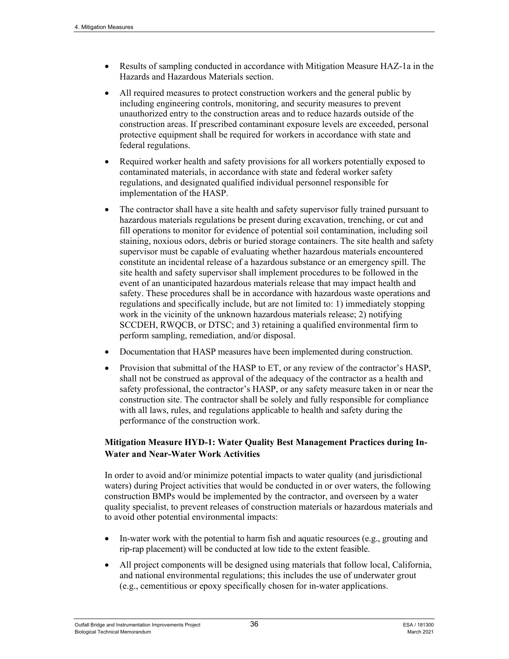- Results of sampling conducted in accordance with Mitigation Measure HAZ-1a in the Hazards and Hazardous Materials section.
- All required measures to protect construction workers and the general public by including engineering controls, monitoring, and security measures to prevent unauthorized entry to the construction areas and to reduce hazards outside of the construction areas. If prescribed contaminant exposure levels are exceeded, personal protective equipment shall be required for workers in accordance with state and federal regulations.
- Required worker health and safety provisions for all workers potentially exposed to contaminated materials, in accordance with state and federal worker safety regulations, and designated qualified individual personnel responsible for implementation of the HASP.
- The contractor shall have a site health and safety supervisor fully trained pursuant to hazardous materials regulations be present during excavation, trenching, or cut and fill operations to monitor for evidence of potential soil contamination, including soil staining, noxious odors, debris or buried storage containers. The site health and safety supervisor must be capable of evaluating whether hazardous materials encountered constitute an incidental release of a hazardous substance or an emergency spill. The site health and safety supervisor shall implement procedures to be followed in the event of an unanticipated hazardous materials release that may impact health and safety. These procedures shall be in accordance with hazardous waste operations and regulations and specifically include, but are not limited to: 1) immediately stopping work in the vicinity of the unknown hazardous materials release; 2) notifying SCCDEH, RWQCB, or DTSC; and 3) retaining a qualified environmental firm to perform sampling, remediation, and/or disposal.
- Documentation that HASP measures have been implemented during construction.
- Provision that submittal of the HASP to ET, or any review of the contractor's HASP, shall not be construed as approval of the adequacy of the contractor as a health and safety professional, the contractor's HASP, or any safety measure taken in or near the construction site. The contractor shall be solely and fully responsible for compliance with all laws, rules, and regulations applicable to health and safety during the performance of the construction work.

#### **Mitigation Measure HYD-1: Water Quality Best Management Practices during In-Water and Near-Water Work Activities**

In order to avoid and/or minimize potential impacts to water quality (and jurisdictional waters) during Project activities that would be conducted in or over waters, the following construction BMPs would be implemented by the contractor, and overseen by a water quality specialist, to prevent releases of construction materials or hazardous materials and to avoid other potential environmental impacts:

- In-water work with the potential to harm fish and aquatic resources (e.g., grouting and rip-rap placement) will be conducted at low tide to the extent feasible.
- All project components will be designed using materials that follow local, California, and national environmental regulations; this includes the use of underwater grout (e.g., cementitious or epoxy specifically chosen for in-water applications.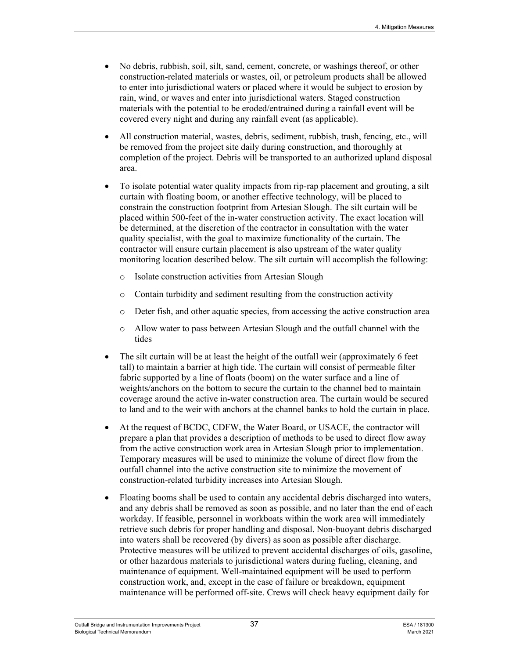- No debris, rubbish, soil, silt, sand, cement, concrete, or washings thereof, or other construction-related materials or wastes, oil, or petroleum products shall be allowed to enter into jurisdictional waters or placed where it would be subject to erosion by rain, wind, or waves and enter into jurisdictional waters. Staged construction materials with the potential to be eroded/entrained during a rainfall event will be covered every night and during any rainfall event (as applicable).
- All construction material, wastes, debris, sediment, rubbish, trash, fencing, etc., will be removed from the project site daily during construction, and thoroughly at completion of the project. Debris will be transported to an authorized upland disposal area.
- To isolate potential water quality impacts from rip-rap placement and grouting, a silt curtain with floating boom, or another effective technology, will be placed to constrain the construction footprint from Artesian Slough. The silt curtain will be placed within 500-feet of the in-water construction activity. The exact location will be determined, at the discretion of the contractor in consultation with the water quality specialist, with the goal to maximize functionality of the curtain. The contractor will ensure curtain placement is also upstream of the water quality monitoring location described below. The silt curtain will accomplish the following:
	- o Isolate construction activities from Artesian Slough
	- o Contain turbidity and sediment resulting from the construction activity
	- o Deter fish, and other aquatic species, from accessing the active construction area
	- o Allow water to pass between Artesian Slough and the outfall channel with the tides
- The silt curtain will be at least the height of the outfall weir (approximately 6 feet tall) to maintain a barrier at high tide. The curtain will consist of permeable filter fabric supported by a line of floats (boom) on the water surface and a line of weights/anchors on the bottom to secure the curtain to the channel bed to maintain coverage around the active in-water construction area. The curtain would be secured to land and to the weir with anchors at the channel banks to hold the curtain in place.
- At the request of BCDC, CDFW, the Water Board, or USACE, the contractor will prepare a plan that provides a description of methods to be used to direct flow away from the active construction work area in Artesian Slough prior to implementation. Temporary measures will be used to minimize the volume of direct flow from the outfall channel into the active construction site to minimize the movement of construction-related turbidity increases into Artesian Slough.
- Floating booms shall be used to contain any accidental debris discharged into waters, and any debris shall be removed as soon as possible, and no later than the end of each workday. If feasible, personnel in workboats within the work area will immediately retrieve such debris for proper handling and disposal. Non-buoyant debris discharged into waters shall be recovered (by divers) as soon as possible after discharge. Protective measures will be utilized to prevent accidental discharges of oils, gasoline, or other hazardous materials to jurisdictional waters during fueling, cleaning, and maintenance of equipment. Well-maintained equipment will be used to perform construction work, and, except in the case of failure or breakdown, equipment maintenance will be performed off-site. Crews will check heavy equipment daily for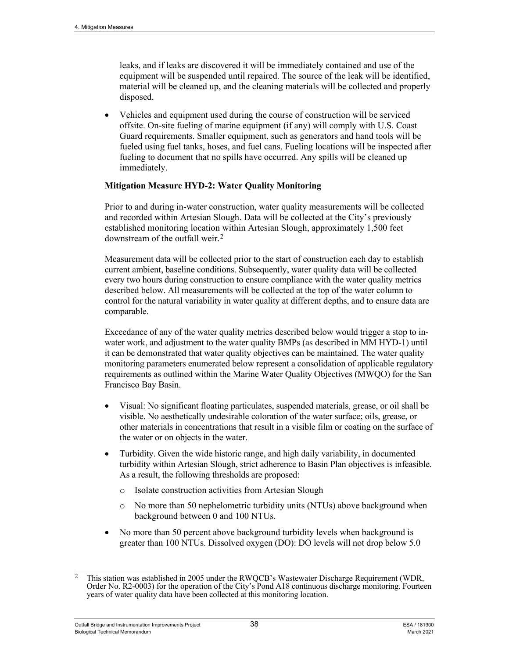leaks, and if leaks are discovered it will be immediately contained and use of the equipment will be suspended until repaired. The source of the leak will be identified, material will be cleaned up, and the cleaning materials will be collected and properly disposed.

• Vehicles and equipment used during the course of construction will be serviced offsite. On-site fueling of marine equipment (if any) will comply with U.S. Coast Guard requirements. Smaller equipment, such as generators and hand tools will be fueled using fuel tanks, hoses, and fuel cans. Fueling locations will be inspected after fueling to document that no spills have occurred. Any spills will be cleaned up immediately.

#### **Mitigation Measure HYD-2: Water Quality Monitoring**

Prior to and during in-water construction, water quality measurements will be collected and recorded within Artesian Slough. Data will be collected at the City's previously established monitoring location within Artesian Slough, approximately 1,500 feet downstream of the outfall weir.<sup>[2](#page-43-0)</sup>

Measurement data will be collected prior to the start of construction each day to establish current ambient, baseline conditions. Subsequently, water quality data will be collected every two hours during construction to ensure compliance with the water quality metrics described below. All measurements will be collected at the top of the water column to control for the natural variability in water quality at different depths, and to ensure data are comparable.

Exceedance of any of the water quality metrics described below would trigger a stop to inwater work, and adjustment to the water quality BMPs (as described in MM HYD-1) until it can be demonstrated that water quality objectives can be maintained. The water quality monitoring parameters enumerated below represent a consolidation of applicable regulatory requirements as outlined within the Marine Water Quality Objectives (MWQO) for the San Francisco Bay Basin.

- Visual: No significant floating particulates, suspended materials, grease, or oil shall be visible. No aesthetically undesirable coloration of the water surface; oils, grease, or other materials in concentrations that result in a visible film or coating on the surface of the water or on objects in the water.
- Turbidity. Given the wide historic range, and high daily variability, in documented turbidity within Artesian Slough, strict adherence to Basin Plan objectives is infeasible. As a result, the following thresholds are proposed:
	- o Isolate construction activities from Artesian Slough
	- o No more than 50 nephelometric turbidity units (NTUs) above background when background between 0 and 100 NTUs.
- No more than 50 percent above background turbidity levels when background is greater than 100 NTUs. Dissolved oxygen (DO): DO levels will not drop below 5.0

<span id="page-43-0"></span><sup>&</sup>lt;sup>2</sup> This station was established in 2005 under the RWQCB's Wastewater Discharge Requirement (WDR, Order No. R2-0003) for the operation of the City's Pond A18 continuous discharge monitoring. Fourteen years of water quality data have been collected at this monitoring location.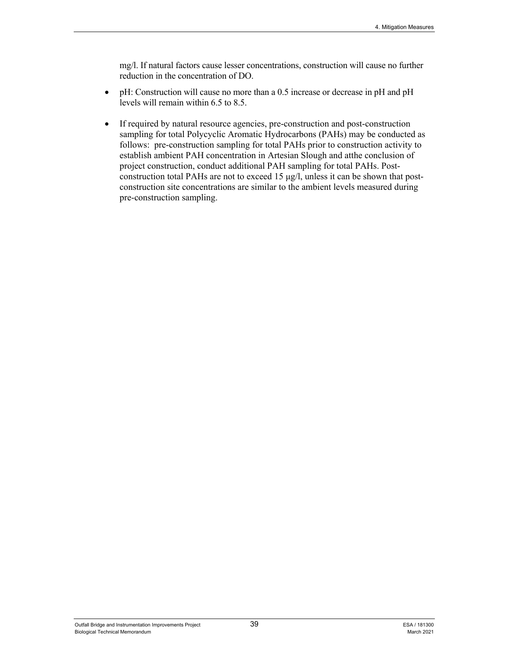mg/l. If natural factors cause lesser concentrations, construction will cause no further reduction in the concentration of DO.

- pH: Construction will cause no more than a 0.5 increase or decrease in pH and pH levels will remain within 6.5 to 8.5.
- If required by natural resource agencies, pre-construction and post-construction sampling for total Polycyclic Aromatic Hydrocarbons (PAHs) may be conducted as follows: pre-construction sampling for total PAHs prior to construction activity to establish ambient PAH concentration in Artesian Slough and atthe conclusion of project construction, conduct additional PAH sampling for total PAHs. Postconstruction total PAHs are not to exceed 15 μg/l, unless it can be shown that postconstruction site concentrations are similar to the ambient levels measured during pre-construction sampling.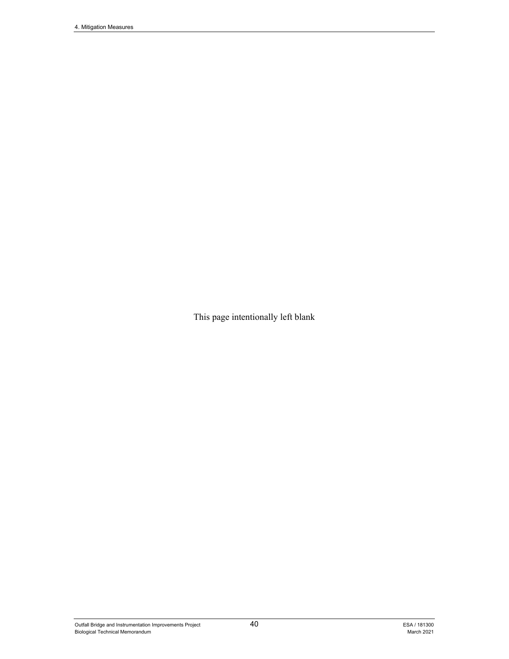This page intentionally left blank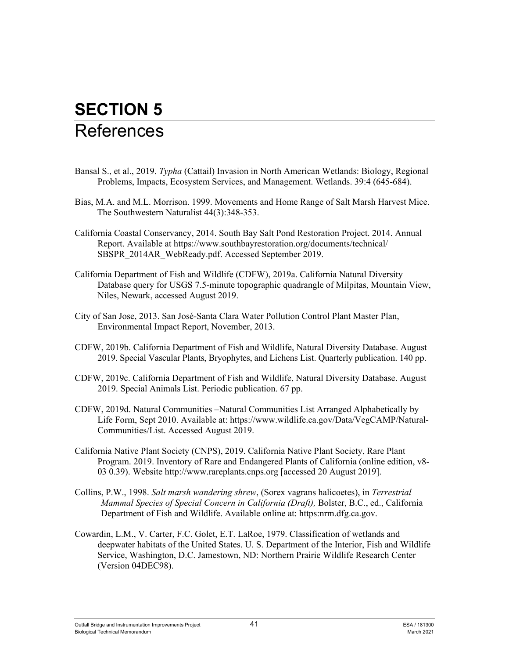# <span id="page-46-1"></span><span id="page-46-0"></span>**SECTION 5 References**

- Bansal S., et al., 2019. *Typha* (Cattail) Invasion in North American Wetlands: Biology, Regional Problems, Impacts, Ecosystem Services, and Management. Wetlands. 39:4 (645-684).
- Bias, M.A. and M.L. Morrison. 1999. Movements and Home Range of Salt Marsh Harvest Mice. The Southwestern Naturalist 44(3):348-353.
- California Coastal Conservancy, 2014. South Bay Salt Pond Restoration Project. 2014. Annual Report. Available at [https://www.southbayrestoration.org/documents/technical/](https://www.southbayrestoration.org/documents/technical/%E2%80%8CSBSPR_2014AR_WebReady.pdf.%20Accessed%20September%202019) [SBSPR\\_2014AR\\_WebReady.pdf. Accessed September 2019.](https://www.southbayrestoration.org/documents/technical/%E2%80%8CSBSPR_2014AR_WebReady.pdf.%20Accessed%20September%202019)
- California Department of Fish and Wildlife (CDFW), 2019a. California Natural Diversity Database query for USGS 7.5-minute topographic quadrangle of Milpitas, Mountain View, Niles, Newark, accessed August 2019.
- City of San Jose, 2013. San José-Santa Clara Water Pollution Control Plant Master Plan, Environmental Impact Report, November, 2013.
- CDFW, 2019b. California Department of Fish and Wildlife, Natural Diversity Database. August 2019. Special Vascular Plants, Bryophytes, and Lichens List. Quarterly publication. 140 pp.
- CDFW, 2019c. California Department of Fish and Wildlife, Natural Diversity Database. August 2019. Special Animals List. Periodic publication. 67 pp.
- CDFW, 2019d. Natural Communities –Natural Communities List Arranged Alphabetically by Life Form, Sept 2010. Available at: [https://www.wildlife.ca.gov/Data/VegCAMP/Natural-](https://www.wildlife.ca.gov/Data/VegCAMP/Natural-Communities/List)[Communities/List.](https://www.wildlife.ca.gov/Data/VegCAMP/Natural-Communities/List) Accessed August 2019.
- California Native Plant Society (CNPS), 2019. California Native Plant Society, Rare Plant Program. 2019. Inventory of Rare and Endangered Plants of California (online edition, v8- 03 0.39). Website http://www.rareplants.cnps.org [accessed 20 August 2019].
- Collins, P.W., 1998. *Salt marsh wandering shrew*, (Sorex vagrans halicoetes), in *Terrestrial Mammal Species of Special Concern in California (Draft),* Bolster, B.C., ed., California Department of Fish and Wildlife. Available online at: https:nrm.dfg.ca.gov.
- Cowardin, L.M., V. Carter, F.C. Golet, E.T. LaRoe, 1979. Classification of wetlands and deepwater habitats of the United States. U. S. Department of the Interior, Fish and Wildlife Service, Washington, D.C. Jamestown, ND: Northern Prairie Wildlife Research Center (Version 04DEC98).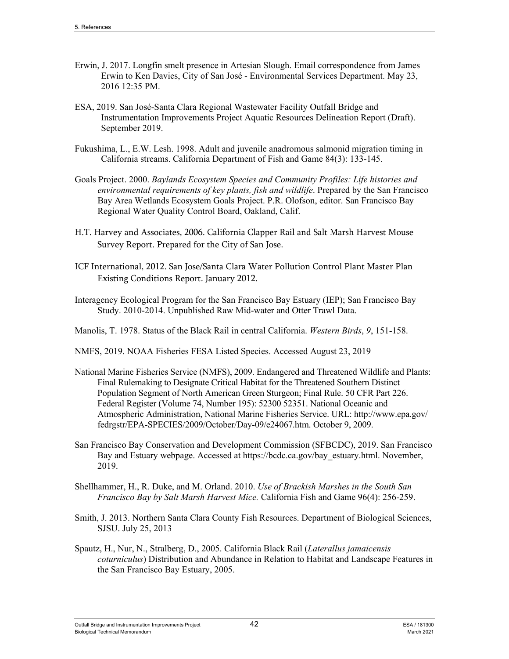- Erwin, J. 2017. Longfin smelt presence in Artesian Slough. Email correspondence from James Erwin to Ken Davies, City of San José - Environmental Services Department. May 23, 2016 12:35 PM.
- ESA, 2019. San José-Santa Clara Regional Wastewater Facility Outfall Bridge and Instrumentation Improvements Project Aquatic Resources Delineation Report (Draft). September 2019.
- Fukushima, L., E.W. Lesh. 1998. Adult and juvenile anadromous salmonid migration timing in California streams. California Department of Fish and Game 84(3): 133-145.
- Goals Project. 2000. *Baylands Ecosystem Species and Community Profiles: Life histories and environmental requirements of key plants, fish and wildlife*. Prepared by the San Francisco Bay Area Wetlands Ecosystem Goals Project. P.R. Olofson, editor. San Francisco Bay Regional Water Quality Control Board, Oakland, Calif.
- H.T. Harvey and Associates, 2006. California Clapper Rail and Salt Marsh Harvest Mouse Survey Report. Prepared for the City of San Jose.
- ICF International, 2012. San Jose/Santa Clara Water Pollution Control Plant Master Plan Existing Conditions Report. January 2012.
- Interagency Ecological Program for the San Francisco Bay Estuary (IEP); San Francisco Bay Study. 2010-2014. Unpublished Raw Mid-water and Otter Trawl Data.
- Manolis, T. 1978. Status of the Black Rail in central California. *Western Birds*, *9*, 151-158.
- NMFS, 2019. NOAA Fisheries FESA Listed Species. Accessed August 23, 2019
- National Marine Fisheries Service (NMFS), 2009. Endangered and Threatened Wildlife and Plants: Final Rulemaking to Designate Critical Habitat for the Threatened Southern Distinct Population Segment of North American Green Sturgeon; Final Rule. 50 CFR Part 226. Federal Register (Volume 74, Number 195): 52300 52351. National Oceanic and Atmospheric Administration, National Marine Fisheries Service. URL: http://www.epa.gov/ fedrgstr/EPA-SPECIES/2009/October/Day-09/e24067.htm. October 9, 2009.
- San Francisco Bay Conservation and Development Commission (SFBCDC), 2019. San Francisco Bay and Estuary webpage. Accessed at [https://bcdc.ca.gov/bay\\_estuary.html.](https://bcdc.ca.gov/bay_estuary.html) November, 2019.
- Shellhammer, H., R. Duke, and M. Orland. 2010. *Use of Brackish Marshes in the South San Francisco Bay by Salt Marsh Harvest Mice.* California Fish and Game 96(4): 256-259.
- Smith, J. 2013. Northern Santa Clara County Fish Resources. Department of Biological Sciences, SJSU. July 25, 2013
- Spautz, H., Nur, N., Stralberg, D., 2005. California Black Rail (*Laterallus jamaicensis coturniculus*) Distribution and Abundance in Relation to Habitat and Landscape Features in the San Francisco Bay Estuary, 2005.

Outfall Bridge and Instrumentation Improvements Project **42** Algorithm and the USA / 181300<br>Riological Technical Memorandum Biological Technical Memorandum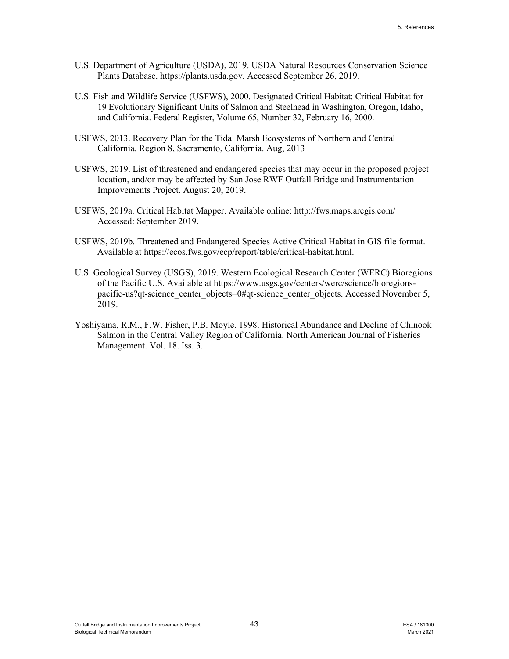- U.S. Department of Agriculture (USDA), 2019. USDA Natural Resources Conservation Science Plants Database. [https://plants.usda.gov.](https://plants.usda.gov/) Accessed September 26, 2019.
- U.S. Fish and Wildlife Service (USFWS), 2000. Designated Critical Habitat: Critical Habitat for 19 Evolutionary Significant Units of Salmon and Steelhead in Washington, Oregon, Idaho, and California. Federal Register, Volume 65, Number 32, February 16, 2000.
- USFWS, 2013. Recovery Plan for the Tidal Marsh Ecosystems of Northern and Central California. Region 8, Sacramento, California. Aug, 2013
- USFWS, 2019. List of threatened and endangered species that may occur in the proposed project location, and/or may be affected by San Jose RWF Outfall Bridge and Instrumentation Improvements Project. August 20, 2019.
- USFWS, 2019a. Critical Habitat Mapper. Available online:<http://fws.maps.arcgis.com/> Accessed: September 2019.
- USFWS, 2019b. Threatened and Endangered Species Active Critical Habitat in GIS file format. Available at [https://ecos.fws.gov/ecp/report/table/critical-habitat.html.](https://ecos.fws.gov/ecp/report/table/critical-habitat.html)
- U.S. Geological Survey (USGS), 2019. Western Ecological Research Center (WERC) Bioregions of the Pacific U.S. Available at [https://www.usgs.gov/centers/werc/science/bioregions](https://www.usgs.gov/centers/werc/science/bioregions-pacific-us?qt-science_center_objects=0#qt-science_center_objects)pacific-us?qt-science center objects=0#qt-science center objects. Accessed November 5, 2019.
- Yoshiyama, R.M., F.W. Fisher, P.B. Moyle. 1998. Historical Abundance and Decline of Chinook Salmon in the Central Valley Region of California. North American Journal of Fisheries Management. Vol. 18. Iss. 3.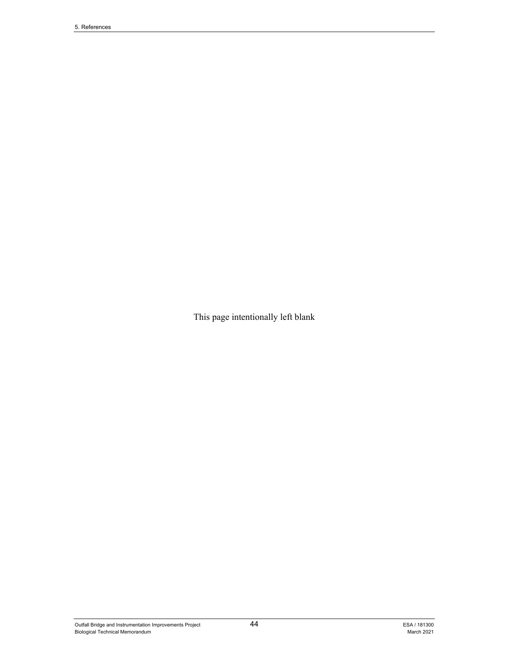This page intentionally left blank